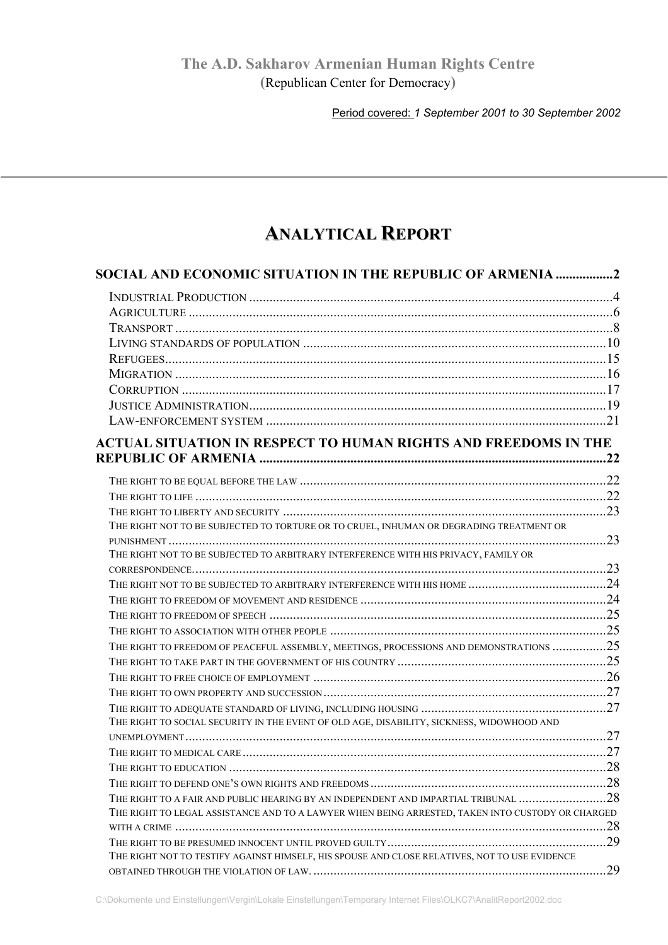# **The A.D. Sakharov Armenian Human Rights Centre (**Republican Center for Democracy**)**

Period covered: *1 September 2001 to 30 September 2002*

# **ANALYTICAL REPORT**

| SOCIAL AND ECONOMIC SITUATION IN THE REPUBLIC OF ARMENIA 2                                       |     |
|--------------------------------------------------------------------------------------------------|-----|
|                                                                                                  |     |
|                                                                                                  |     |
|                                                                                                  |     |
|                                                                                                  |     |
|                                                                                                  |     |
|                                                                                                  |     |
|                                                                                                  |     |
|                                                                                                  |     |
|                                                                                                  |     |
| <b>ACTUAL SITUATION IN RESPECT TO HUMAN RIGHTS AND FREEDOMS IN THE</b>                           |     |
|                                                                                                  |     |
|                                                                                                  |     |
|                                                                                                  |     |
|                                                                                                  |     |
| THE RIGHT NOT TO BE SUBJECTED TO TORTURE OR TO CRUEL, INHUMAN OR DEGRADING TREATMENT OR          |     |
|                                                                                                  |     |
| THE RIGHT NOT TO BE SUBJECTED TO ARBITRARY INTERFERENCE WITH HIS PRIVACY, FAMILY OR              |     |
|                                                                                                  |     |
|                                                                                                  |     |
|                                                                                                  |     |
|                                                                                                  |     |
|                                                                                                  |     |
| THE RIGHT TO FREEDOM OF PEACEFUL ASSEMBLY, MEETINGS, PROCESSIONS AND DEMONSTRATIONS 25           |     |
|                                                                                                  |     |
|                                                                                                  |     |
|                                                                                                  |     |
| THE RIGHT TO SOCIAL SECURITY IN THE EVENT OF OLD AGE, DISABILITY, SICKNESS, WIDOWHOOD AND        |     |
|                                                                                                  |     |
|                                                                                                  |     |
|                                                                                                  |     |
|                                                                                                  |     |
| THE RIGHT TO A FAIR AND PUBLIC HEARING BY AN INDEPENDENT AND IMPARTIAL TRIBUNAL 28               |     |
| THE RIGHT TO LEGAL ASSISTANCE AND TO A LAWYER WHEN BEING ARRESTED, TAKEN INTO CUSTODY OR CHARGED |     |
|                                                                                                  |     |
|                                                                                                  |     |
| THE RIGHT NOT TO TESTIFY AGAINST HIMSELF, HIS SPOUSE AND CLOSE RELATIVES, NOT TO USE EVIDENCE    |     |
|                                                                                                  | .29 |

C:\Dokumente und Einstellungen\Vergin\Lokale Einstellungen\Temporary Internet Files\OLKC7\AnalitReport2002.doc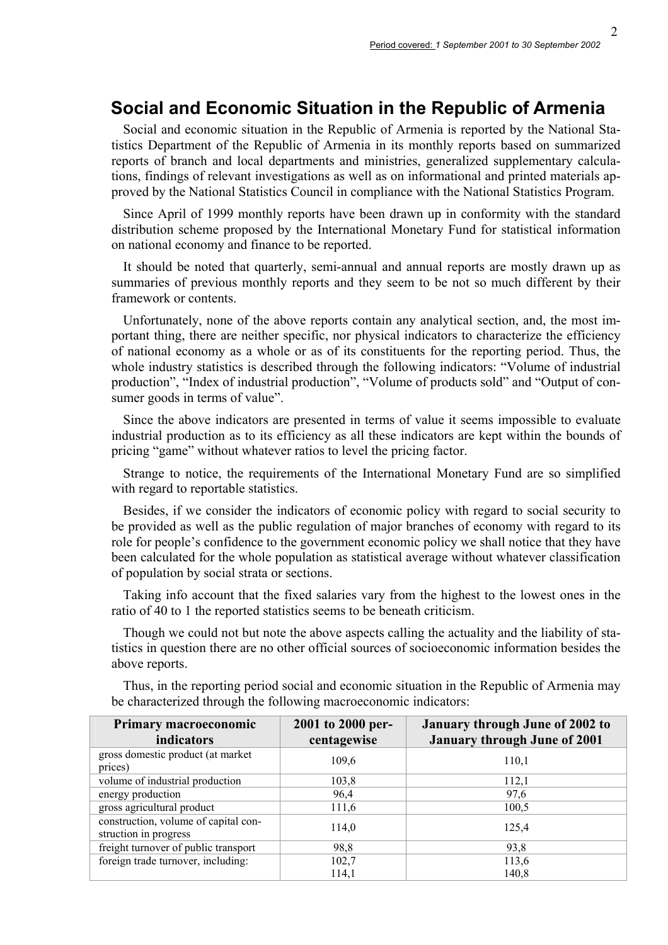# **Social and Economic Situation in the Republic of Armenia**

Social and economic situation in the Republic of Armenia is reported by the National Statistics Department of the Republic of Armenia in its monthly reports based on summarized reports of branch and local departments and ministries, generalized supplementary calculations, findings of relevant investigations as well as on informational and printed materials approved by the National Statistics Council in compliance with the National Statistics Program.

Since April of 1999 monthly reports have been drawn up in conformity with the standard distribution scheme proposed by the International Monetary Fund for statistical information on national economy and finance to be reported.

It should be noted that quarterly, semi-annual and annual reports are mostly drawn up as summaries of previous monthly reports and they seem to be not so much different by their framework or contents.

Unfortunately, none of the above reports contain any analytical section, and, the most important thing, there are neither specific, nor physical indicators to characterize the efficiency of national economy as a whole or as of its constituents for the reporting period. Thus, the whole industry statistics is described through the following indicators: "Volume of industrial production", "Index of industrial production", "Volume of products sold" and "Output of consumer goods in terms of value".

Since the above indicators are presented in terms of value it seems impossible to evaluate industrial production as to its efficiency as all these indicators are kept within the bounds of pricing "game" without whatever ratios to level the pricing factor.

Strange to notice, the requirements of the International Monetary Fund are so simplified with regard to reportable statistics.

Besides, if we consider the indicators of economic policy with regard to social security to be provided as well as the public regulation of major branches of economy with regard to its role for people's confidence to the government economic policy we shall notice that they have been calculated for the whole population as statistical average without whatever classification of population by social strata or sections.

Taking info account that the fixed salaries vary from the highest to the lowest ones in the ratio of 40 to 1 the reported statistics seems to be beneath criticism.

Though we could not but note the above aspects calling the actuality and the liability of statistics in question there are no other official sources of socioeconomic information besides the above reports.

| Primary macroeconomic<br>indicators                           | 2001 to 2000 per-<br>centagewise | <b>January through June of 2002 to</b><br><b>January through June of 2001</b> |
|---------------------------------------------------------------|----------------------------------|-------------------------------------------------------------------------------|
| gross domestic product (at market)<br>prices)                 | 109,6                            | 110.1                                                                         |
| volume of industrial production                               | 103,8                            | 112,1                                                                         |
| energy production                                             | 96,4                             | 97,6                                                                          |
| gross agricultural product                                    | 111,6                            | 100,5                                                                         |
| construction, volume of capital con-<br>struction in progress | 114,0                            | 125,4                                                                         |
| freight turnover of public transport                          | 98,8                             | 93,8                                                                          |
| foreign trade turnover, including:                            | 102,7                            | 113,6                                                                         |
|                                                               | 114,1                            | 140,8                                                                         |

Thus, in the reporting period social and economic situation in the Republic of Armenia may be characterized through the following macroeconomic indicators: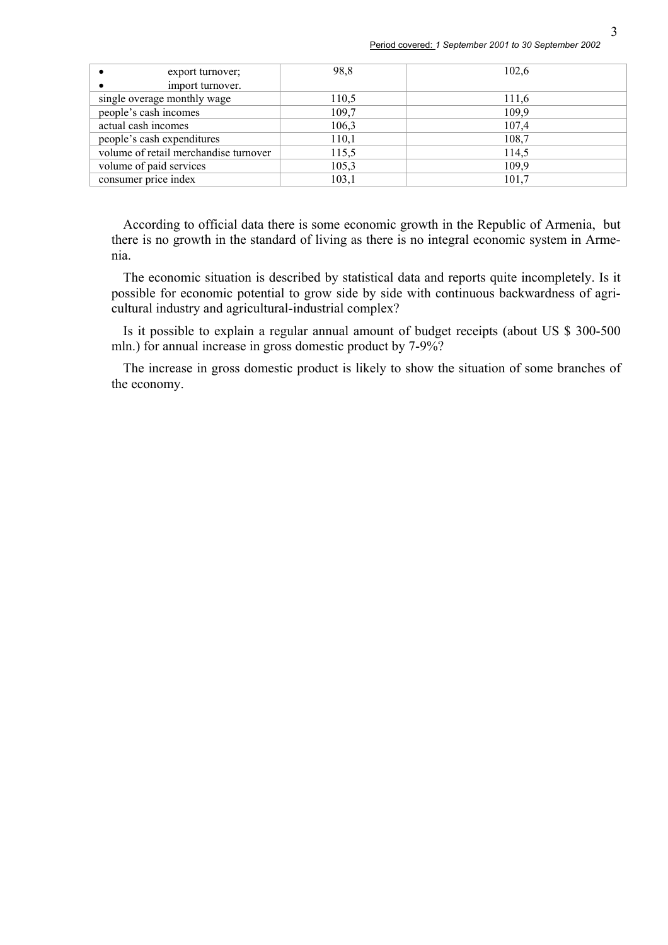| export turnover;                      | 98,8  | 102,6 |
|---------------------------------------|-------|-------|
| import turnover.                      |       |       |
| single overage monthly wage           | 110,5 | 111,6 |
| people's cash incomes                 | 109,7 | 109,9 |
| actual cash incomes                   | 106,3 | 107,4 |
| people's cash expenditures            | 110,1 | 108,7 |
| volume of retail merchandise turnover | 115,5 | 114,5 |
| volume of paid services               | 105,3 | 109,9 |
| consumer price index                  | 103,1 | 101,7 |

According to official data there is some economic growth in the Republic of Armenia, but there is no growth in the standard of living as there is no integral economic system in Armenia.

The economic situation is described by statistical data and reports quite incompletely. Is it possible for economic potential to grow side by side with continuous backwardness of agricultural industry and agricultural-industrial complex?

Is it possible to explain a regular annual amount of budget receipts (about US \$ 300-500 mln.) for annual increase in gross domestic product by 7-9%?

The increase in gross domestic product is likely to show the situation of some branches of the economy.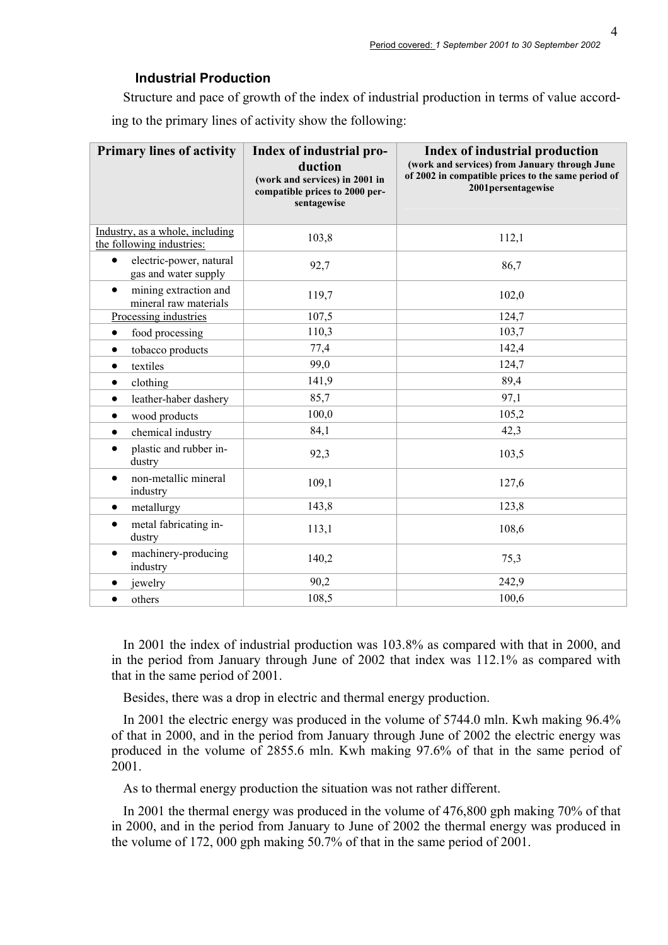## **Industrial Production**

Structure and pace of growth of the index of industrial production in terms of value according to the primary lines of activity show the following:

| <b>Primary lines of activity</b>                             | Index of industrial pro-<br>duction<br>(work and services) in 2001 in<br>compatible prices to 2000 per-<br>sentagewise | Index of industrial production<br>(work and services) from January through June<br>of 2002 in compatible prices to the same period of<br>2001persentagewise |
|--------------------------------------------------------------|------------------------------------------------------------------------------------------------------------------------|-------------------------------------------------------------------------------------------------------------------------------------------------------------|
| Industry, as a whole, including<br>the following industries: | 103,8                                                                                                                  | 112,1                                                                                                                                                       |
| electric-power, natural<br>$\bullet$<br>gas and water supply | 92,7                                                                                                                   | 86,7                                                                                                                                                        |
| mining extraction and<br>$\bullet$<br>mineral raw materials  | 119,7                                                                                                                  | 102,0                                                                                                                                                       |
| Processing industries                                        | 107,5                                                                                                                  | 124,7                                                                                                                                                       |
| food processing<br>$\bullet$                                 | 110,3                                                                                                                  | 103,7                                                                                                                                                       |
| tobacco products<br>$\bullet$                                | 77,4                                                                                                                   | 142,4                                                                                                                                                       |
| textiles<br>٠                                                | 99,0                                                                                                                   | 124,7                                                                                                                                                       |
| clothing<br>$\bullet$                                        | 141,9                                                                                                                  | 89,4                                                                                                                                                        |
| leather-haber dashery<br>$\bullet$                           | 85,7                                                                                                                   | 97,1                                                                                                                                                        |
| wood products<br>٠                                           | 100,0                                                                                                                  | 105,2                                                                                                                                                       |
| chemical industry<br>$\bullet$                               | 84,1                                                                                                                   | 42,3                                                                                                                                                        |
| plastic and rubber in-<br>$\bullet$<br>dustry                | 92,3                                                                                                                   | 103,5                                                                                                                                                       |
| non-metallic mineral<br>$\bullet$<br>industry                | 109,1                                                                                                                  | 127,6                                                                                                                                                       |
| metallurgy<br>$\bullet$                                      | 143,8                                                                                                                  | 123,8                                                                                                                                                       |
| metal fabricating in-<br>$\bullet$<br>dustry                 | 113,1                                                                                                                  | 108,6                                                                                                                                                       |
| machinery-producing<br>$\bullet$<br>industry                 | 140,2                                                                                                                  | 75,3                                                                                                                                                        |
| jewelry                                                      | 90,2                                                                                                                   | 242,9                                                                                                                                                       |
| others                                                       | 108,5                                                                                                                  | 100,6                                                                                                                                                       |

In 2001 the index of industrial production was 103.8% as compared with that in 2000, and in the period from January through June of 2002 that index was 112.1% as compared with that in the same period of 2001.

Besides, there was a drop in electric and thermal energy production.

In 2001 the electric energy was produced in the volume of 5744.0 mln. Kwh making 96.4% of that in 2000, and in the period from January through June of 2002 the electric energy was produced in the volume of 2855.6 mln. Kwh making 97.6% of that in the same period of 2001.

As to thermal energy production the situation was not rather different.

In 2001 the thermal energy was produced in the volume of 476,800 gph making 70% of that in 2000, and in the period from January to June of 2002 the thermal energy was produced in the volume of 172, 000 gph making 50.7% of that in the same period of 2001.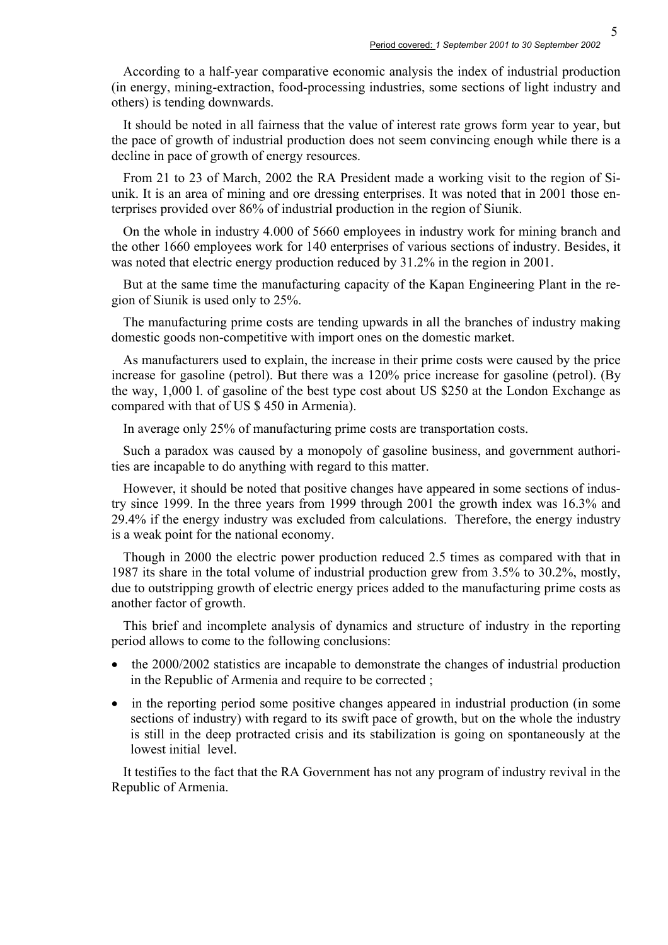According to a half-year comparative economic analysis the index of industrial production (in energy, mining-extraction, food-processing industries, some sections of light industry and others) is tending downwards.

It should be noted in all fairness that the value of interest rate grows form year to year, but the pace of growth of industrial production does not seem convincing enough while there is a decline in pace of growth of energy resources.

From 21 to 23 of March, 2002 the RA President made a working visit to the region of Siunik. It is an area of mining and ore dressing enterprises. It was noted that in 2001 those enterprises provided over 86% of industrial production in the region of Siunik.

On the whole in industry 4.000 of 5660 employees in industry work for mining branch and the other 1660 employees work for 140 enterprises of various sections of industry. Besides, it was noted that electric energy production reduced by 31.2% in the region in 2001.

But at the same time the manufacturing capacity of the Kapan Engineering Plant in the region of Siunik is used only to 25%.

The manufacturing prime costs are tending upwards in all the branches of industry making domestic goods non-competitive with import ones on the domestic market.

As manufacturers used to explain, the increase in their prime costs were caused by the price increase for gasoline (petrol). But there was a 120% price increase for gasoline (petrol). (By the way, 1,000 l. of gasoline of the best type cost about US \$250 at the London Exchange as compared with that of US \$ 450 in Armenia).

In average only 25% of manufacturing prime costs are transportation costs.

Such a paradox was caused by a monopoly of gasoline business, and government authorities are incapable to do anything with regard to this matter.

However, it should be noted that positive changes have appeared in some sections of industry since 1999. In the three years from 1999 through 2001 the growth index was 16.3% and 29.4% if the energy industry was excluded from calculations. Therefore, the energy industry is a weak point for the national economy.

Though in 2000 the electric power production reduced 2.5 times as compared with that in 1987 its share in the total volume of industrial production grew from 3.5% to 30.2%, mostly, due to outstripping growth of electric energy prices added to the manufacturing prime costs as another factor of growth.

This brief and incomplete analysis of dynamics and structure of industry in the reporting period allows to come to the following conclusions:

- the 2000/2002 statistics are incapable to demonstrate the changes of industrial production in the Republic of Armenia and require to be corrected ;
- in the reporting period some positive changes appeared in industrial production (in some sections of industry) with regard to its swift pace of growth, but on the whole the industry is still in the deep protracted crisis and its stabilization is going on spontaneously at the lowest initial level.

It testifies to the fact that the RA Government has not any program of industry revival in the Republic of Armenia.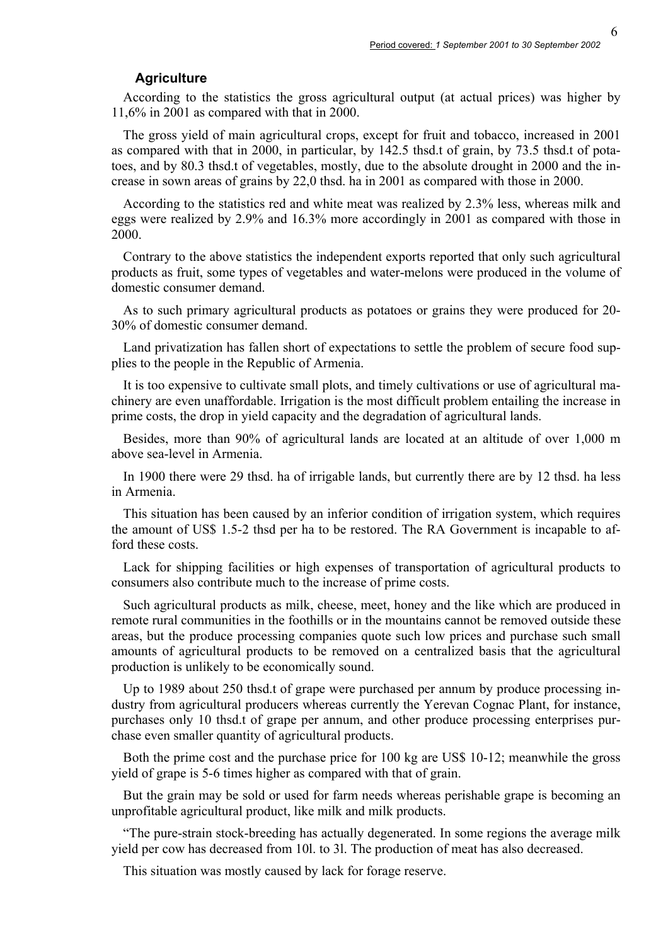#### **Agriculture**

According to the statistics the gross agricultural output (at actual prices) was higher by 11,6% in 2001 as compared with that in 2000.

The gross yield of main agricultural crops, except for fruit and tobacco, increased in 2001 as compared with that in 2000, in particular, by 142.5 thsd.t of grain, by 73.5 thsd.t of potatoes, and by 80.3 thsd.t of vegetables, mostly, due to the absolute drought in 2000 and the increase in sown areas of grains by 22,0 thsd. ha in 2001 as compared with those in 2000.

According to the statistics red and white meat was realized by 2.3% less, whereas milk and eggs were realized by 2.9% and 16.3% more accordingly in 2001 as compared with those in 2000.

Contrary to the above statistics the independent exports reported that only such agricultural products as fruit, some types of vegetables and water-melons were produced in the volume of domestic consumer demand.

As to such primary agricultural products as potatoes or grains they were produced for 20- 30% of domestic consumer demand.

Land privatization has fallen short of expectations to settle the problem of secure food supplies to the people in the Republic of Armenia.

It is too expensive to cultivate small plots, and timely cultivations or use of agricultural machinery are even unaffordable. Irrigation is the most difficult problem entailing the increase in prime costs, the drop in yield capacity and the degradation of agricultural lands.

Besides, more than 90% of agricultural lands are located at an altitude of over 1,000 m above sea-level in Armenia.

In 1900 there were 29 thsd. ha of irrigable lands, but currently there are by 12 thsd. ha less in Armenia.

This situation has been caused by an inferior condition of irrigation system, which requires the amount of US\$ 1.5-2 thsd per ha to be restored. The RA Government is incapable to afford these costs.

Lack for shipping facilities or high expenses of transportation of agricultural products to consumers also contribute much to the increase of prime costs.

Such agricultural products as milk, cheese, meet, honey and the like which are produced in remote rural communities in the foothills or in the mountains cannot be removed outside these areas, but the produce processing companies quote such low prices and purchase such small amounts of agricultural products to be removed on a centralized basis that the agricultural production is unlikely to be economically sound.

Up to 1989 about 250 thsd.t of grape were purchased per annum by produce processing industry from agricultural producers whereas currently the Yerevan Cognac Plant, for instance, purchases only 10 thsd.t of grape per annum, and other produce processing enterprises purchase even smaller quantity of agricultural products.

Both the prime cost and the purchase price for 100 kg are US\$ 10-12; meanwhile the gross yield of grape is 5-6 times higher as compared with that of grain.

But the grain may be sold or used for farm needs whereas perishable grape is becoming an unprofitable agricultural product, like milk and milk products.

"The pure-strain stock-breeding has actually degenerated. In some regions the average milk yield per cow has decreased from 10l. to 3l. The production of meat has also decreased.

This situation was mostly caused by lack for forage reserve.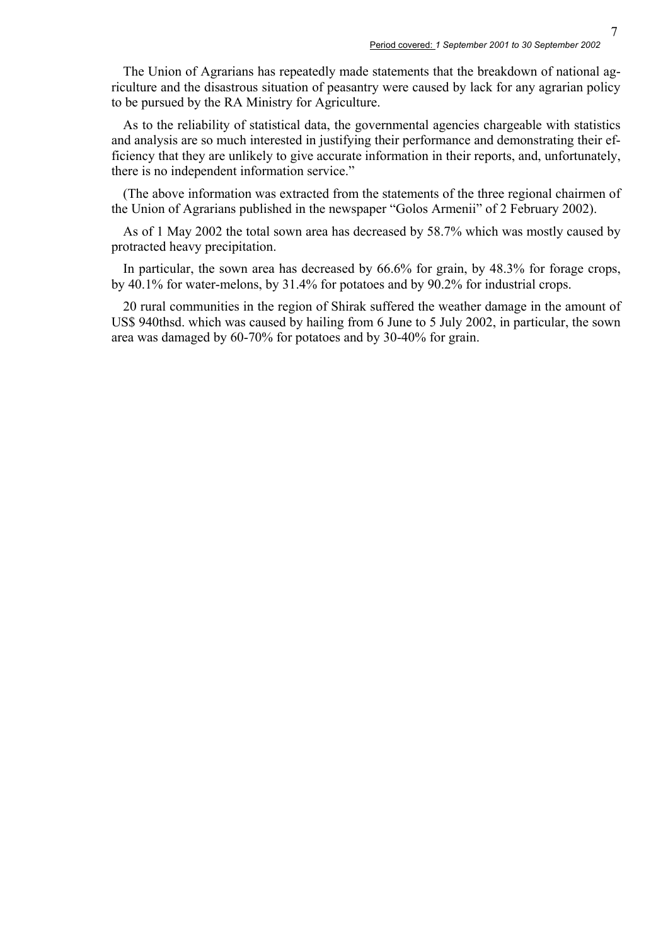The Union of Agrarians has repeatedly made statements that the breakdown of national agriculture and the disastrous situation of peasantry were caused by lack for any agrarian policy to be pursued by the RA Ministry for Agriculture.

As to the reliability of statistical data, the governmental agencies chargeable with statistics and analysis are so much interested in justifying their performance and demonstrating their efficiency that they are unlikely to give accurate information in their reports, and, unfortunately, there is no independent information service."

(The above information was extracted from the statements of the three regional chairmen of the Union of Agrarians published in the newspaper "Golos Armenii" of 2 February 2002).

As of 1 May 2002 the total sown area has decreased by 58.7% which was mostly caused by protracted heavy precipitation.

In particular, the sown area has decreased by 66.6% for grain, by 48.3% for forage crops, by 40.1% for water-melons, by 31.4% for potatoes and by 90.2% for industrial crops.

20 rural communities in the region of Shirak suffered the weather damage in the amount of US\$ 940thsd. which was caused by hailing from 6 June to 5 July 2002, in particular, the sown area was damaged by 60-70% for potatoes and by 30-40% for grain.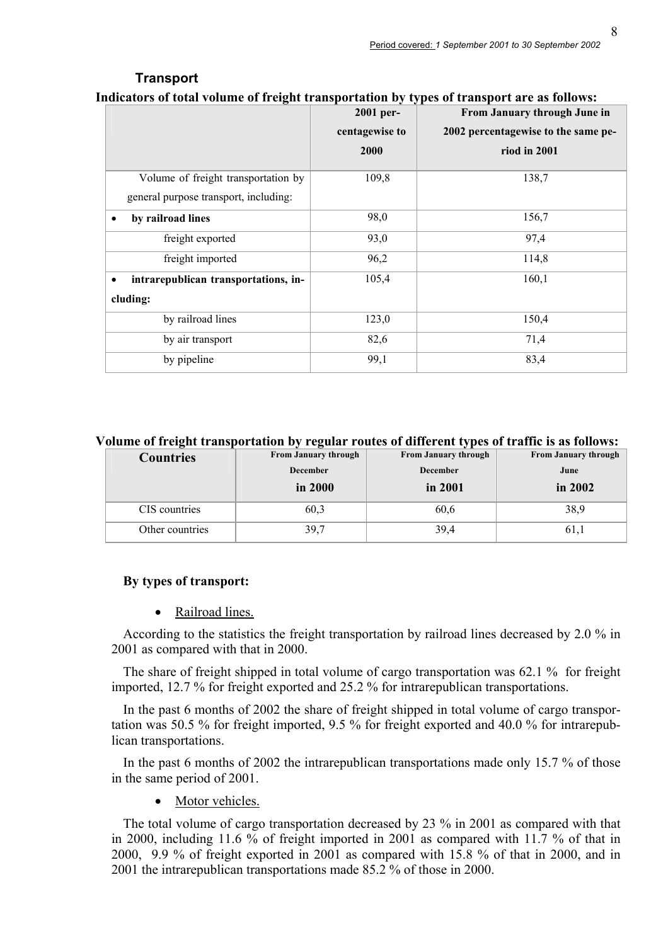| ndicators of total volume of freight transportation by types of transport are as follows: |                |                                     |  |
|-------------------------------------------------------------------------------------------|----------------|-------------------------------------|--|
|                                                                                           | 2001 per-      | From January through June in        |  |
|                                                                                           | centagewise to | 2002 percentagewise to the same pe- |  |
|                                                                                           | 2000           | riod in 2001                        |  |
| Volume of freight transportation by                                                       | 109,8          | 138,7                               |  |
| general purpose transport, including:                                                     |                |                                     |  |
| by railroad lines<br>٠                                                                    | 98,0           | 156,7                               |  |
| freight exported                                                                          | 93,0           | 97,4                                |  |
| freight imported                                                                          | 96,2           | 114,8                               |  |
| intrarepublican transportations, in-                                                      | 105,4          | 160,1                               |  |
| cluding:                                                                                  |                |                                     |  |
| by railroad lines                                                                         | 123,0          | 150,4                               |  |
| by air transport                                                                          | 82,6           | 71,4                                |  |
| by pipeline                                                                               | 99,1           | 83,4                                |  |

## **Transport Indicators of total volume of freight transportation by types of transport are as follows:**

**Volume of freight transportation by regular routes of different types of traffic is as follows:** 

| <b>Countries</b> | <b>From January through</b> | <b>From January through</b> | <b>From January through</b> |
|------------------|-----------------------------|-----------------------------|-----------------------------|
|                  | <b>December</b>             | <b>December</b>             | June                        |
|                  | in 2000                     | in 2001                     | in $2002$                   |
| CIS countries    | 60.3                        | 60.6                        | 38.9                        |
| Other countries  | 39,7                        | 39,4                        | 61,1                        |

### **By types of transport:**

• Railroad lines.

According to the statistics the freight transportation by railroad lines decreased by 2.0 % in 2001 as compared with that in 2000.

The share of freight shipped in total volume of cargo transportation was 62.1 % for freight imported, 12.7 % for freight exported and 25.2 % for intrarepublican transportations.

In the past 6 months of 2002 the share of freight shipped in total volume of cargo transportation was 50.5 % for freight imported, 9.5 % for freight exported and 40.0 % for intrarepublican transportations.

In the past 6 months of 2002 the intrarepublican transportations made only 15.7 % of those in the same period of 2001.

• Motor vehicles.

The total volume of cargo transportation decreased by 23 % in 2001 as compared with that in 2000, including 11.6 % of freight imported in 2001 as compared with 11.7 % of that in 2000, 9.9 % of freight exported in 2001 as compared with 15.8 % of that in 2000, and in 2001 the intrarepublican transportations made 85.2 % of those in 2000.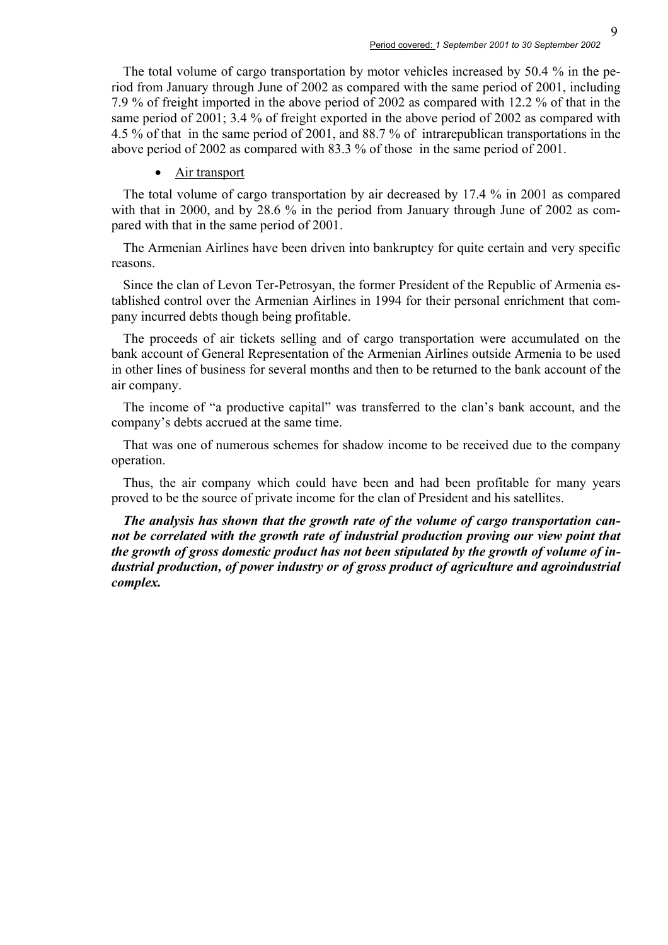The total volume of cargo transportation by motor vehicles increased by 50.4 % in the period from January through June of 2002 as compared with the same period of 2001, including 7.9 % of freight imported in the above period of 2002 as compared with 12.2 % of that in the same period of 2001; 3.4 % of freight exported in the above period of 2002 as compared with 4.5 % of that in the same period of 2001, and 88.7 % of intrarepublican transportations in the above period of 2002 as compared with 83.3 % of those in the same period of 2001.

#### • Air transport

The total volume of cargo transportation by air decreased by 17.4 % in 2001 as compared with that in 2000, and by 28.6 % in the period from January through June of 2002 as compared with that in the same period of 2001.

The Armenian Airlines have been driven into bankruptcy for quite certain and very specific reasons.

Since the clan of Levon Ter-Petrosyan, the former President of the Republic of Armenia established control over the Armenian Airlines in 1994 for their personal enrichment that company incurred debts though being profitable.

The proceeds of air tickets selling and of cargo transportation were accumulated on the bank account of General Representation of the Armenian Airlines outside Armenia to be used in other lines of business for several months and then to be returned to the bank account of the air company.

The income of "a productive capital" was transferred to the clan's bank account, and the company's debts accrued at the same time.

That was one of numerous schemes for shadow income to be received due to the company operation.

Thus, the air company which could have been and had been profitable for many years proved to be the source of private income for the clan of President and his satellites.

*The analysis has shown that the growth rate of the volume of cargo transportation cannot be correlated with the growth rate of industrial production proving our view point that the growth of gross domestic product has not been stipulated by the growth of volume of industrial production, of power industry or of gross product of agriculture and agroindustrial complex.*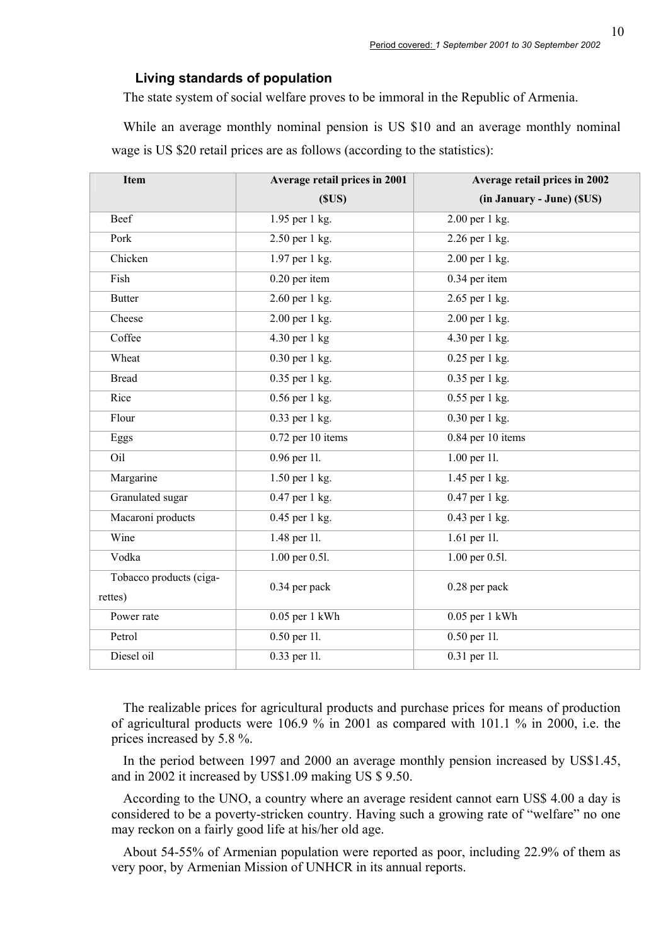#### **Living standards of population**

The state system of social welfare proves to be immoral in the Republic of Armenia.

While an average monthly nominal pension is US \$10 and an average monthly nominal wage is US \$20 retail prices are as follows (according to the statistics):

| <b>Item</b>             | Average retail prices in 2001 | Average retail prices in 2002 |
|-------------------------|-------------------------------|-------------------------------|
|                         | (SUS)                         | (in January - June) (\$US)    |
| Beef                    | 1.95 per 1 kg.                | 2.00 per 1 kg.                |
| Pork                    | 2.50 per 1 kg.                | 2.26 per 1 kg.                |
| Chicken                 | 1.97 per 1 kg.                | 2.00 per 1 kg.                |
| Fish                    | $0.20$ per item               | 0.34 per item                 |
| <b>Butter</b>           | 2.60 per 1 kg.                | 2.65 per 1 kg.                |
| Cheese                  | 2.00 per 1 kg.                | $2.00$ per 1 kg.              |
| Coffee                  | 4.30 per 1 kg                 | $\overline{4.30}$ per 1 kg.   |
| Wheat                   | 0.30 per 1 kg.                | 0.25 per 1 kg.                |
| <b>Bread</b>            | 0.35 per 1 kg.                | 0.35 per 1 kg.                |
| Rice                    | $0.56$ per 1 kg.              | $0.55$ per 1 kg.              |
| Flour                   | 0.33 per 1 kg.                | $0.30$ per 1 kg.              |
| Eggs                    | $0.72$ per 10 items           | 0.84 per 10 items             |
| Oil                     | 0.96 per 11.                  | 1.00 per 11.                  |
| Margarine               | $1.50$ per 1 kg.              | 1.45 per 1 kg.                |
| Granulated sugar        | $0.47$ per 1 kg.              | 0.47 per 1 kg.                |
| Macaroni products       | $0.45$ per 1 kg.              | 0.43 per 1 kg.                |
| Wine                    | 1.48 per 11.                  | 1.61 per 11.                  |
| Vodka                   | 1.00 per 0.51.                | 1.00 per 0.51.                |
| Tobacco products (ciga- | 0.34 per pack                 | 0.28 per pack                 |
| rettes)                 |                               |                               |
| Power rate              | $0.05$ per 1 kWh              | $0.05$ per 1 kWh              |
| Petrol                  | 0.50 per 11.                  | 0.50 per 11.                  |
| Diesel oil              | 0.33 per 11.                  | 0.31 per 11.                  |

The realizable prices for agricultural products and purchase prices for means of production of agricultural products were 106.9 % in 2001 as compared with 101.1 % in 2000, i.e. the prices increased by 5.8 %.

In the period between 1997 and 2000 an average monthly pension increased by US\$1.45, and in 2002 it increased by US\$1.09 making US \$ 9.50.

According to the UNO, a country where an average resident cannot earn US\$ 4.00 a day is considered to be a poverty-stricken country. Having such a growing rate of "welfare" no one may reckon on a fairly good life at his/her old age.

About 54-55% of Armenian population were reported as poor, including 22.9% of them as very poor, by Armenian Mission of UNHCR in its annual reports.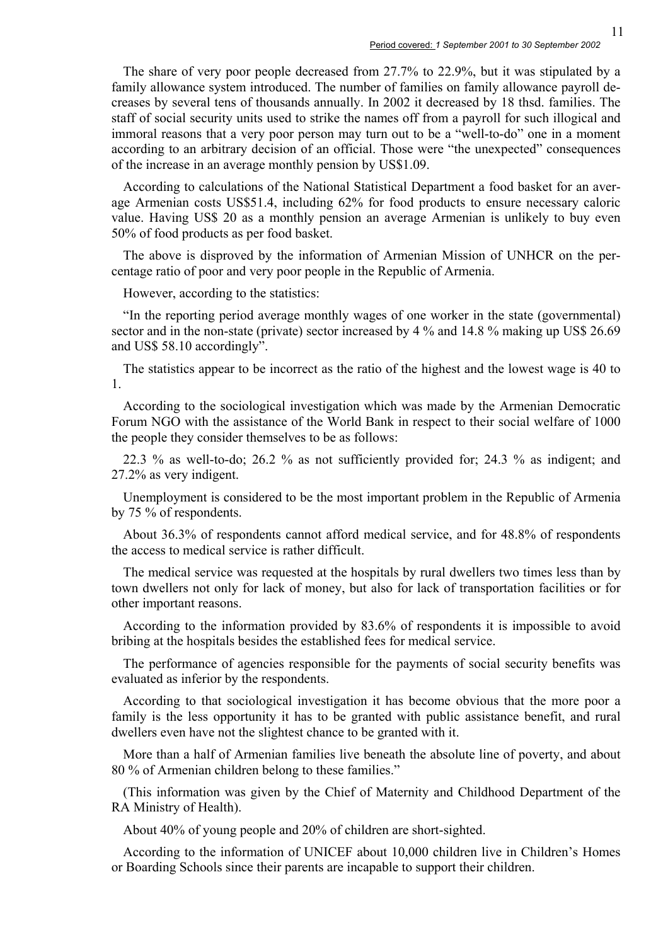The share of very poor people decreased from 27.7% to 22.9%, but it was stipulated by a family allowance system introduced. The number of families on family allowance payroll decreases by several tens of thousands annually. In 2002 it decreased by 18 thsd. families. The staff of social security units used to strike the names off from a payroll for such illogical and immoral reasons that a very poor person may turn out to be a "well-to-do" one in a moment according to an arbitrary decision of an official. Those were "the unexpected" consequences of the increase in an average monthly pension by US\$1.09.

According to calculations of the National Statistical Department a food basket for an average Armenian costs US\$51.4, including 62% for food products to ensure necessary caloric value. Having US\$ 20 as a monthly pension an average Armenian is unlikely to buy even 50% of food products as per food basket.

The above is disproved by the information of Armenian Mission of UNHCR on the percentage ratio of poor and very poor people in the Republic of Armenia.

However, according to the statistics:

"In the reporting period average monthly wages of one worker in the state (governmental) sector and in the non-state (private) sector increased by 4 % and 14.8 % making up US\$ 26.69 and US\$ 58.10 accordingly".

The statistics appear to be incorrect as the ratio of the highest and the lowest wage is 40 to 1.

According to the sociological investigation which was made by the Armenian Democratic Forum NGO with the assistance of the World Bank in respect to their social welfare of 1000 the people they consider themselves to be as follows:

22.3 % as well-to-do; 26.2 % as not sufficiently provided for; 24.3 % as indigent; and 27.2% as very indigent.

Unemployment is considered to be the most important problem in the Republic of Armenia by 75 % of respondents.

About 36.3% of respondents cannot afford medical service, and for 48.8% of respondents the access to medical service is rather difficult.

The medical service was requested at the hospitals by rural dwellers two times less than by town dwellers not only for lack of money, but also for lack of transportation facilities or for other important reasons.

According to the information provided by 83.6% of respondents it is impossible to avoid bribing at the hospitals besides the established fees for medical service.

The performance of agencies responsible for the payments of social security benefits was evaluated as inferior by the respondents.

According to that sociological investigation it has become obvious that the more poor a family is the less opportunity it has to be granted with public assistance benefit, and rural dwellers even have not the slightest chance to be granted with it.

More than a half of Armenian families live beneath the absolute line of poverty, and about 80 % of Armenian children belong to these families."

(This information was given by the Chief of Maternity and Childhood Department of the RA Ministry of Health).

About 40% of young people and 20% of children are short-sighted.

According to the information of UNICEF about 10,000 children live in Children's Homes or Boarding Schools since their parents are incapable to support their children.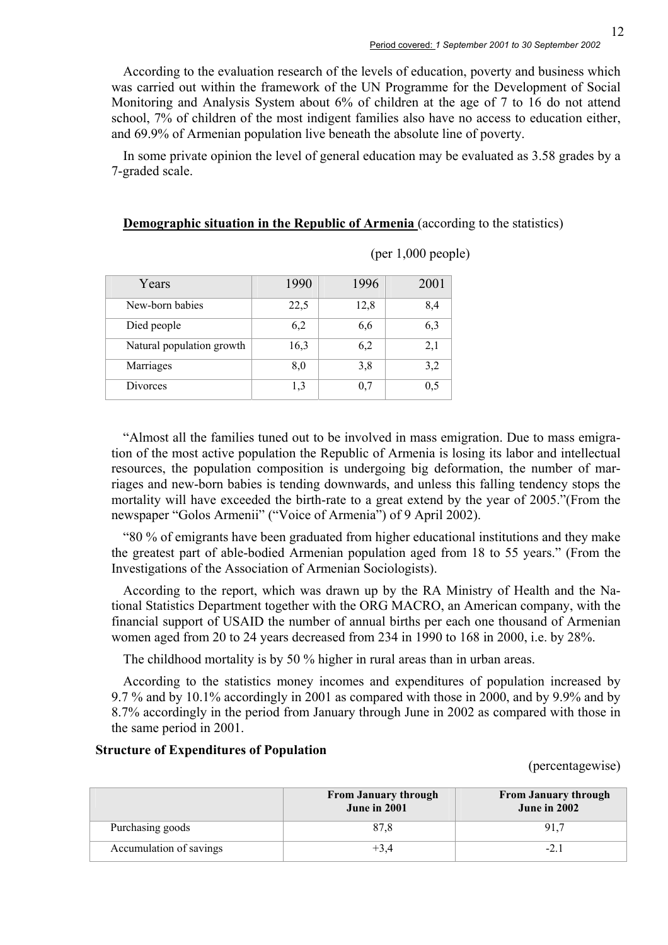According to the evaluation research of the levels of education, poverty and business which was carried out within the framework of the UN Programme for the Development of Social Monitoring and Analysis System about 6% of children at the age of 7 to 16 do not attend school, 7% of children of the most indigent families also have no access to education either, and 69.9% of Armenian population live beneath the absolute line of poverty.

In some private opinion the level of general education may be evaluated as 3.58 grades by a 7-graded scale.

**Demographic situation in the Republic of Armenia** (according to the statistics)

| Years                     | 1990 | 1996 | 2001 |
|---------------------------|------|------|------|
| New-born babies           | 22,5 | 12,8 | 8,4  |
| Died people               | 6,2  | 6,6  | 6,3  |
| Natural population growth | 16,3 | 6,2  | 2,1  |
| Marriages                 | 8,0  | 3,8  | 3,2  |
| Divorces                  | 1,3  | 0.7  | 0,5  |

(per 1,000 people)

"Almost all the families tuned out to be involved in mass emigration. Due to mass emigration of the most active population the Republic of Armenia is losing its labor and intellectual resources, the population composition is undergoing big deformation, the number of marriages and new-born babies is tending downwards, and unless this falling tendency stops the mortality will have exceeded the birth-rate to a great extend by the year of 2005."(From the newspaper "Golos Armenii" ("Voice of Armenia") of 9 April 2002).

"80 % of emigrants have been graduated from higher educational institutions and they make the greatest part of able-bodied Armenian population aged from 18 to 55 years." (From the Investigations of the Association of Armenian Sociologists).

According to the report, which was drawn up by the RA Ministry of Health and the National Statistics Department together with the ORG MACRO, an American company, with the financial support of USAID the number of annual births per each one thousand of Armenian women aged from 20 to 24 years decreased from 234 in 1990 to 168 in 2000, i.e. by 28%.

The childhood mortality is by 50 % higher in rural areas than in urban areas.

According to the statistics money incomes and expenditures of population increased by 9.7 % and by 10.1% accordingly in 2001 as compared with those in 2000, and by 9.9% and by 8.7% accordingly in the period from January through June in 2002 as compared with those in the same period in 2001.

#### **Structure of Expenditures of Population**

(percentagewise)

|                         | <b>From January through</b><br><b>June in 2001</b> | <b>From January through</b><br><b>June in 2002</b> |
|-------------------------|----------------------------------------------------|----------------------------------------------------|
| Purchasing goods        | 87.8                                               | 91.7                                               |
| Accumulation of savings | $+3.4$                                             | $-2$                                               |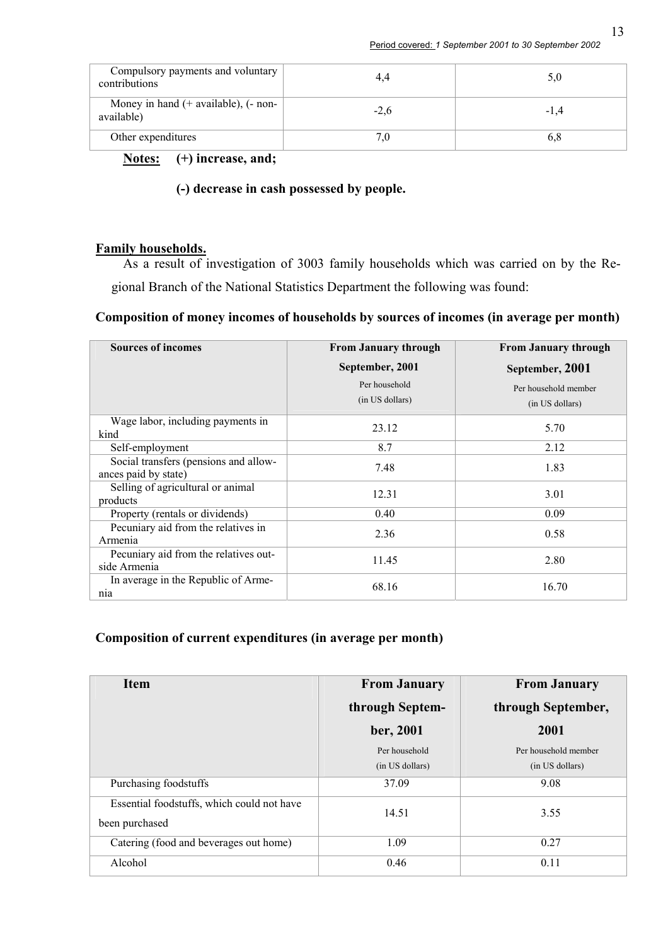| Compulsory payments and voluntary<br>contributions     |        | 5,0    |
|--------------------------------------------------------|--------|--------|
| Money in hand $(+$ available), $(-$ non-<br>available) | $-2,6$ | $-1.4$ |
| Other expenditures                                     |        | 0.8    |

**Notes: (+) increase, and;** 

#### **(-) decrease in cash possessed by people.**

#### **Family households.**

As a result of investigation of 3003 family households which was carried on by the Regional Branch of the National Statistics Department the following was found:

### **Composition of money incomes of households by sources of incomes (in average per month)**

| <b>Sources of incomes</b>                                     | <b>From January through</b>      | <b>From January through</b>             |
|---------------------------------------------------------------|----------------------------------|-----------------------------------------|
|                                                               | September, 2001                  | September, 2001                         |
|                                                               | Per household<br>(in US dollars) | Per household member<br>(in US dollars) |
| Wage labor, including payments in<br>kind                     | 23.12                            | 5.70                                    |
| Self-employment                                               | 8.7                              | 2.12                                    |
| Social transfers (pensions and allow-<br>ances paid by state) | 7.48                             | 1.83                                    |
| Selling of agricultural or animal<br>products                 | 12.31                            | 3.01                                    |
| Property (rentals or dividends)                               | 0.40                             | 0.09                                    |
| Pecuniary aid from the relatives in<br>Armenia                | 2.36                             | 0.58                                    |
| Pecuniary aid from the relatives out-<br>side Armenia         | 11.45                            | 2.80                                    |
| In average in the Republic of Arme-<br>nia                    | 68.16                            | 16.70                                   |

#### **Composition of current expenditures (in average per month)**

| <b>Item</b>                                                  | <b>From January</b> | <b>From January</b>  |
|--------------------------------------------------------------|---------------------|----------------------|
|                                                              | through Septem-     | through September,   |
|                                                              | ber, 2001           | 2001                 |
|                                                              | Per household       | Per household member |
|                                                              | (in US dollars)     | (in US dollars)      |
| Purchasing foodstuffs                                        | 37.09               | 9.08                 |
| Essential foodstuffs, which could not have<br>been purchased | 14.51               | 3.55                 |
| Catering (food and beverages out home)                       | 1.09                | 0.27                 |
| Alcohol                                                      | 0.46                | 0.11                 |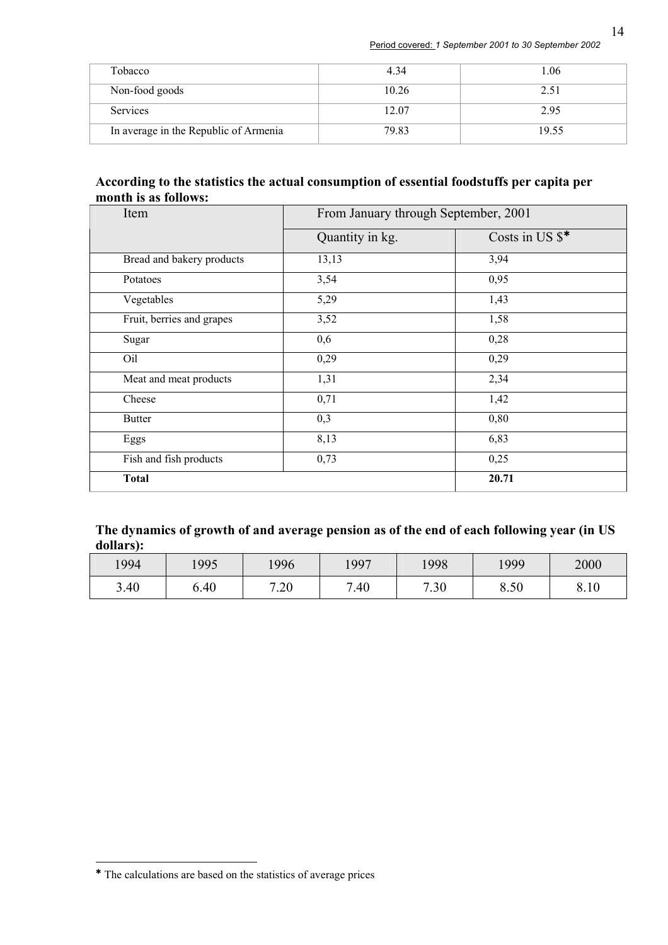| Tobacco                               | 4.34  | .06   |
|---------------------------------------|-------|-------|
| Non-food goods                        | 10.26 | 2.51  |
| <b>Services</b>                       | 12.07 | 2.95  |
| In average in the Republic of Armenia | 79.83 | 19.55 |

#### **According to the statistics the actual consumption of essential foodstuffs per capita per month is as follows:**

| Item                      | From January through September, 2001 |                 |  |
|---------------------------|--------------------------------------|-----------------|--|
|                           | Quantity in kg.                      | Costs in US \$* |  |
| Bread and bakery products | 13,13                                | 3,94            |  |
| Potatoes                  | 3,54                                 | 0,95            |  |
| Vegetables                | 5,29                                 | 1,43            |  |
| Fruit, berries and grapes | 3,52                                 | 1,58            |  |
| Sugar                     | 0,6                                  | 0,28            |  |
| Oil                       | 0,29                                 | 0,29            |  |
| Meat and meat products    | 1,31                                 | 2,34            |  |
| Cheese                    | 0,71                                 | 1,42            |  |
| <b>Butter</b>             | 0,3                                  | 0,80            |  |
| Eggs                      | 8,13                                 | 6,83            |  |
| Fish and fish products    | 0,73                                 | 0,25            |  |
| <b>Total</b>              |                                      | 20.71           |  |

### **The dynamics of growth of and average pension as of the end of each following year (in US dollars):**

| 1994 | 1995 | 1996 | 1997           | 1998 | 1999 | 2000 |
|------|------|------|----------------|------|------|------|
| 3.40 | 0.40 | 7.20 | $^{\prime}.40$ | 7.30 | 8.50 | 8.10 |

 $\overline{a}$ 

À The calculations are based on the statistics of average prices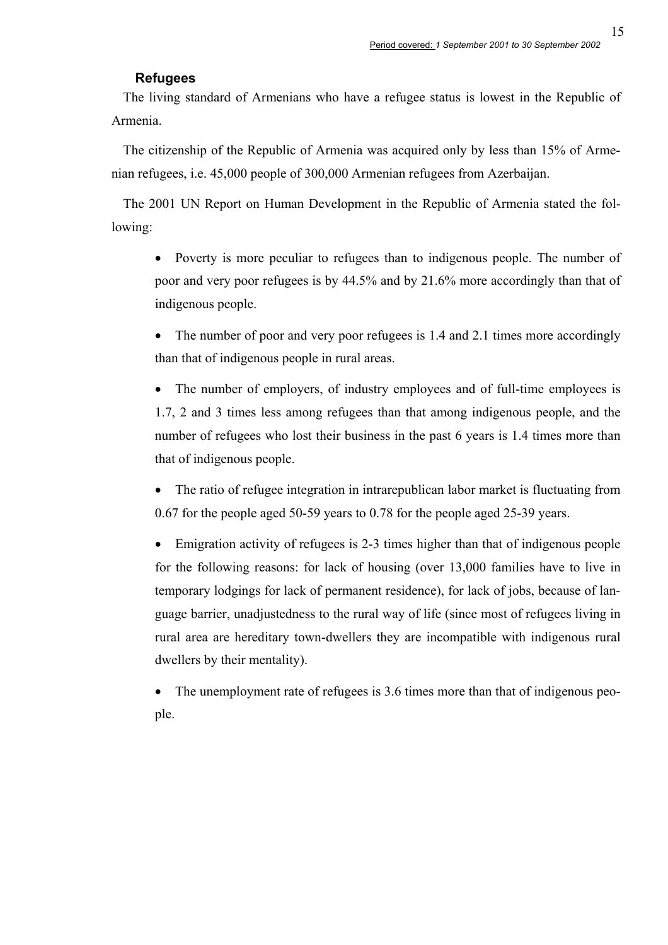#### **Refugees**

The living standard of Armenians who have a refugee status is lowest in the Republic of Armenia.

The citizenship of the Republic of Armenia was acquired only by less than 15% of Armenian refugees, i.e. 45,000 people of 300,000 Armenian refugees from Azerbaijan.

The 2001 UN Report on Human Development in the Republic of Armenia stated the following:

• Poverty is more peculiar to refugees than to indigenous people. The number of poor and very poor refugees is by 44.5% and by 21.6% more accordingly than that of indigenous people.

• The number of poor and very poor refugees is 1.4 and 2.1 times more accordingly than that of indigenous people in rural areas.

• The number of employers, of industry employees and of full-time employees is 1.7, 2 and 3 times less among refugees than that among indigenous people, and the number of refugees who lost their business in the past 6 years is 1.4 times more than that of indigenous people.

The ratio of refugee integration in intrarepublican labor market is fluctuating from 0.67 for the people aged 50-59 years to 0.78 for the people aged 25-39 years.

• Emigration activity of refugees is 2-3 times higher than that of indigenous people for the following reasons: for lack of housing (over 13,000 families have to live in temporary lodgings for lack of permanent residence), for lack of jobs, because of language barrier, unadjustedness to the rural way of life (since most of refugees living in rural area are hereditary town-dwellers they are incompatible with indigenous rural dwellers by their mentality).

• The unemployment rate of refugees is 3.6 times more than that of indigenous people.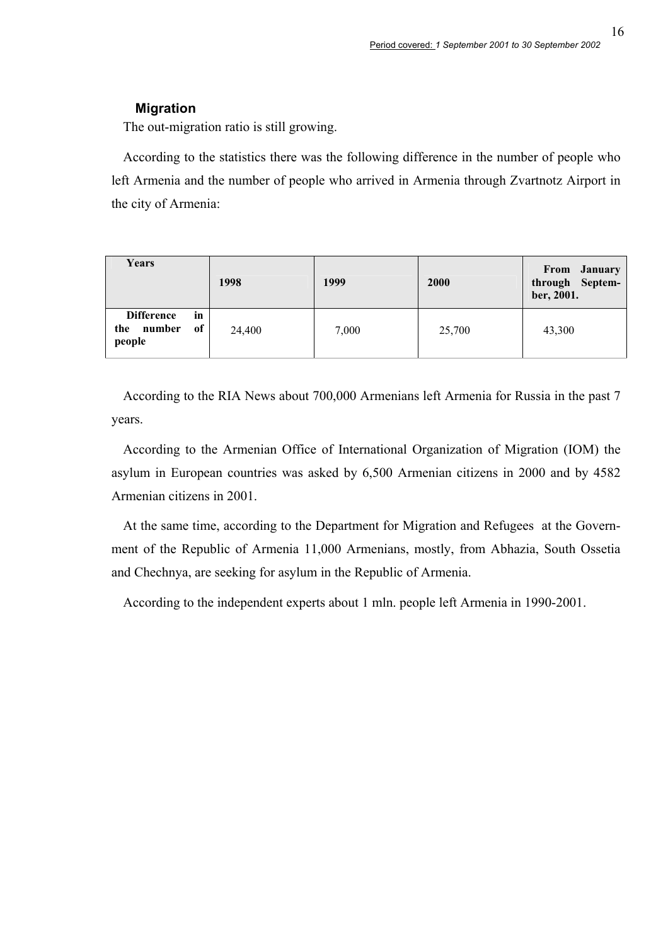16

#### **Migration**

The out-migration ratio is still growing.

According to the statistics there was the following difference in the number of people who left Armenia and the number of people who arrived in Armenia through Zvartnotz Airport in the city of Armenia:

| Years                                                    | 1998   | 1999  | 2000   | From January<br>through Septem-<br>ber, 2001. |
|----------------------------------------------------------|--------|-------|--------|-----------------------------------------------|
| <b>Difference</b><br>in<br>number<br>of<br>the<br>people | 24,400 | 7,000 | 25,700 | 43,300                                        |

According to the RIA News about 700,000 Armenians left Armenia for Russia in the past 7 years.

According to the Armenian Office of International Organization of Migration (IOM) the asylum in European countries was asked by 6,500 Armenian citizens in 2000 and by 4582 Armenian citizens in 2001.

At the same time, according to the Department for Migration and Refugees at the Government of the Republic of Armenia 11,000 Armenians, mostly, from Abhazia, South Ossetia and Chechnya, are seeking for asylum in the Republic of Armenia.

According to the independent experts about 1 mln. people left Armenia in 1990-2001.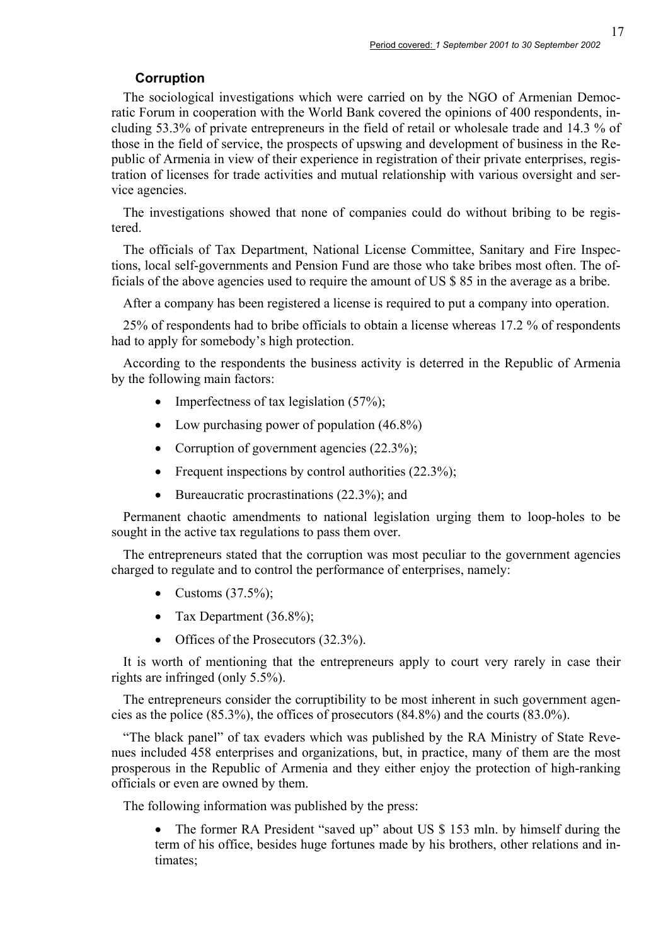# **Corruption**

The sociological investigations which were carried on by the NGO of Armenian Democratic Forum in cooperation with the World Bank covered the opinions of 400 respondents, including 53.3% of private entrepreneurs in the field of retail or wholesale trade and 14.3 % of those in the field of service, the prospects of upswing and development of business in the Republic of Armenia in view of their experience in registration of their private enterprises, registration of licenses for trade activities and mutual relationship with various oversight and service agencies.

The investigations showed that none of companies could do without bribing to be registered.

The officials of Tax Department, National License Committee, Sanitary and Fire Inspections, local self-governments and Pension Fund are those who take bribes most often. The officials of the above agencies used to require the amount of US \$ 85 in the average as a bribe.

After a company has been registered a license is required to put a company into operation.

25% of respondents had to bribe officials to obtain a license whereas 17.2 % of respondents had to apply for somebody's high protection.

According to the respondents the business activity is deterred in the Republic of Armenia by the following main factors:

- Imperfectness of tax legislation  $(57\%)$ ;
- Low purchasing power of population  $(46.8\%)$
- Corruption of government agencies (22.3%);
- Frequent inspections by control authorities  $(22.3\%)$ ;
- Bureaucratic procrastinations (22.3%); and

Permanent chaotic amendments to national legislation urging them to loop-holes to be sought in the active tax regulations to pass them over.

The entrepreneurs stated that the corruption was most peculiar to the government agencies charged to regulate and to control the performance of enterprises, namely:

- Customs  $(37.5\%)$ ;
- Tax Department  $(36.8\%)$ ;
- Offices of the Prosecutors (32.3%).

It is worth of mentioning that the entrepreneurs apply to court very rarely in case their rights are infringed (only 5.5%).

The entrepreneurs consider the corruptibility to be most inherent in such government agencies as the police (85.3%), the offices of prosecutors (84.8%) and the courts (83.0%).

"The black panel" of tax evaders which was published by the RA Ministry of State Revenues included 458 enterprises and organizations, but, in practice, many of them are the most prosperous in the Republic of Armenia and they either enjoy the protection of high-ranking officials or even are owned by them.

The following information was published by the press:

• The former RA President "saved up" about US \$ 153 mln. by himself during the term of his office, besides huge fortunes made by his brothers, other relations and intimates;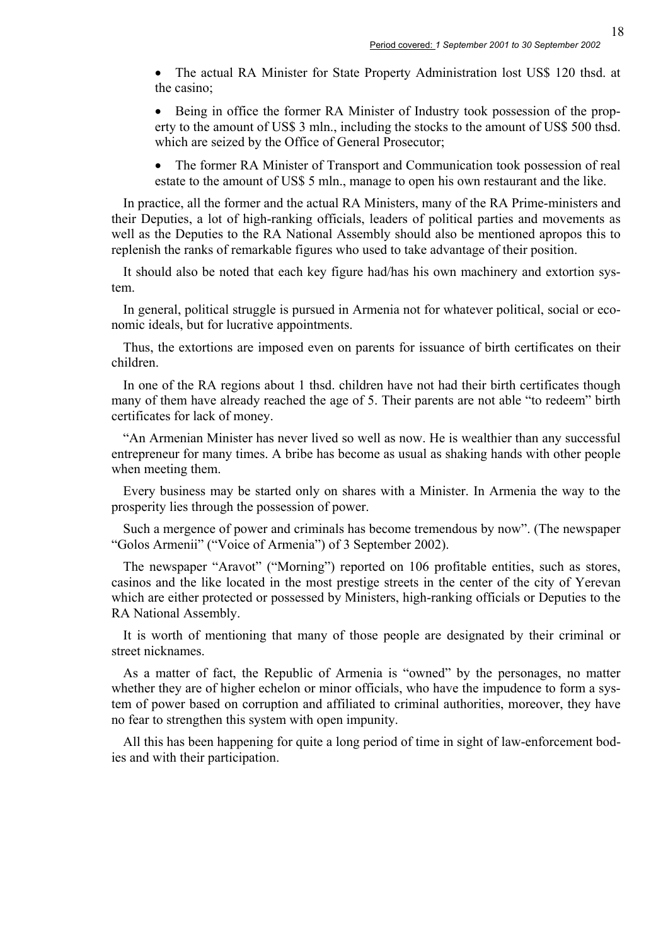18

• The actual RA Minister for State Property Administration lost US\$ 120 thsd. at the casino;

• Being in office the former RA Minister of Industry took possession of the property to the amount of US\$ 3 mln., including the stocks to the amount of US\$ 500 thsd. which are seized by the Office of General Prosecutor;

• The former RA Minister of Transport and Communication took possession of real estate to the amount of US\$ 5 mln., manage to open his own restaurant and the like.

In practice, all the former and the actual RA Ministers, many of the RA Prime-ministers and their Deputies, a lot of high-ranking officials, leaders of political parties and movements as well as the Deputies to the RA National Assembly should also be mentioned apropos this to replenish the ranks of remarkable figures who used to take advantage of their position.

It should also be noted that each key figure had/has his own machinery and extortion system.

In general, political struggle is pursued in Armenia not for whatever political, social or economic ideals, but for lucrative appointments.

Thus, the extortions are imposed even on parents for issuance of birth certificates on their children.

In one of the RA regions about 1 thsd. children have not had their birth certificates though many of them have already reached the age of 5. Their parents are not able "to redeem" birth certificates for lack of money.

"An Armenian Minister has never lived so well as now. He is wealthier than any successful entrepreneur for many times. A bribe has become as usual as shaking hands with other people when meeting them.

Every business may be started only on shares with a Minister. In Armenia the way to the prosperity lies through the possession of power.

Such a mergence of power and criminals has become tremendous by now". (The newspaper "Golos Armenii" ("Voice of Armenia") of 3 September 2002).

The newspaper "Aravot" ("Morning") reported on 106 profitable entities, such as stores, casinos and the like located in the most prestige streets in the center of the city of Yerevan which are either protected or possessed by Ministers, high-ranking officials or Deputies to the RA National Assembly.

It is worth of mentioning that many of those people are designated by their criminal or street nicknames.

As a matter of fact, the Republic of Armenia is "owned" by the personages, no matter whether they are of higher echelon or minor officials, who have the impudence to form a system of power based on corruption and affiliated to criminal authorities, moreover, they have no fear to strengthen this system with open impunity.

All this has been happening for quite a long period of time in sight of law-enforcement bodies and with their participation.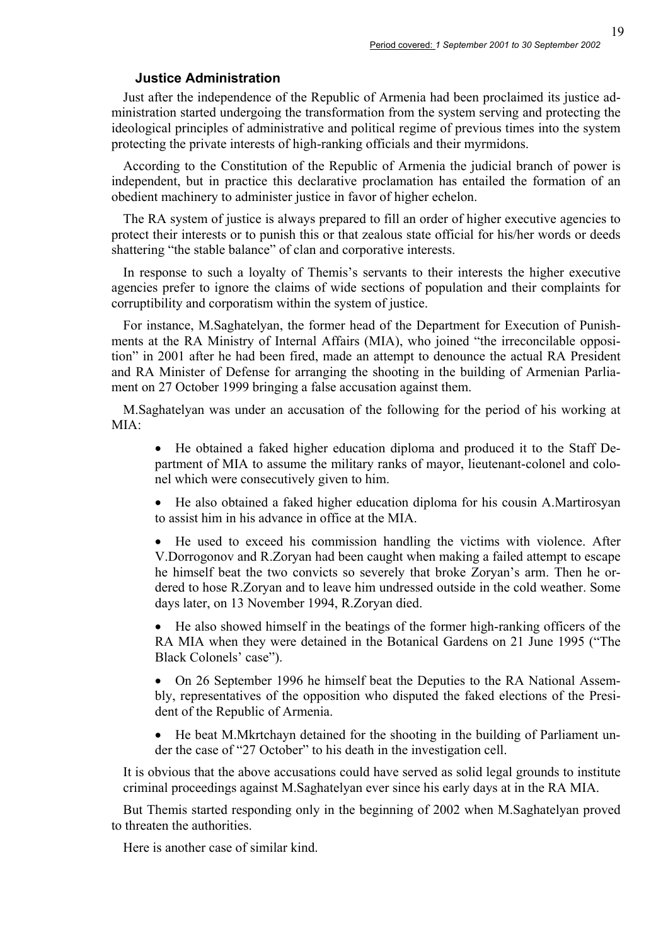#### **Justice Administration**

Just after the independence of the Republic of Armenia had been proclaimed its justice administration started undergoing the transformation from the system serving and protecting the ideological principles of administrative and political regime of previous times into the system protecting the private interests of high-ranking officials and their myrmidons.

According to the Constitution of the Republic of Armenia the judicial branch of power is independent, but in practice this declarative proclamation has entailed the formation of an obedient machinery to administer justice in favor of higher echelon.

The RA system of justice is always prepared to fill an order of higher executive agencies to protect their interests or to punish this or that zealous state official for his/her words or deeds shattering "the stable balance" of clan and corporative interests.

In response to such a loyalty of Themis's servants to their interests the higher executive agencies prefer to ignore the claims of wide sections of population and their complaints for corruptibility and corporatism within the system of justice.

For instance, M.Saghatelyan, the former head of the Department for Execution of Punishments at the RA Ministry of Internal Affairs (MIA), who joined "the irreconcilable opposition" in 2001 after he had been fired, made an attempt to denounce the actual RA President and RA Minister of Defense for arranging the shooting in the building of Armenian Parliament on 27 October 1999 bringing a false accusation against them.

M.Saghatelyan was under an accusation of the following for the period of his working at  $MIA<sup>+</sup>$ 

• He obtained a faked higher education diploma and produced it to the Staff Department of MIA to assume the military ranks of mayor, lieutenant-colonel and colonel which were consecutively given to him.

• He also obtained a faked higher education diploma for his cousin A.Martirosyan to assist him in his advance in office at the MIA.

• He used to exceed his commission handling the victims with violence. After V.Dorrogonov and R.Zoryan had been caught when making a failed attempt to escape he himself beat the two convicts so severely that broke Zoryan's arm. Then he ordered to hose R.Zoryan and to leave him undressed outside in the cold weather. Some days later, on 13 November 1994, R.Zoryan died.

• He also showed himself in the beatings of the former high-ranking officers of the RA MIA when they were detained in the Botanical Gardens on 21 June 1995 ("The Black Colonels' case").

• On 26 September 1996 he himself beat the Deputies to the RA National Assembly, representatives of the opposition who disputed the faked elections of the President of the Republic of Armenia.

• He beat M.Mkrtchayn detained for the shooting in the building of Parliament under the case of "27 October" to his death in the investigation cell.

It is obvious that the above accusations could have served as solid legal grounds to institute criminal proceedings against M.Saghatelyan ever since his early days at in the RA MIA.

But Themis started responding only in the beginning of 2002 when M.Saghatelyan proved to threaten the authorities.

Here is another case of similar kind.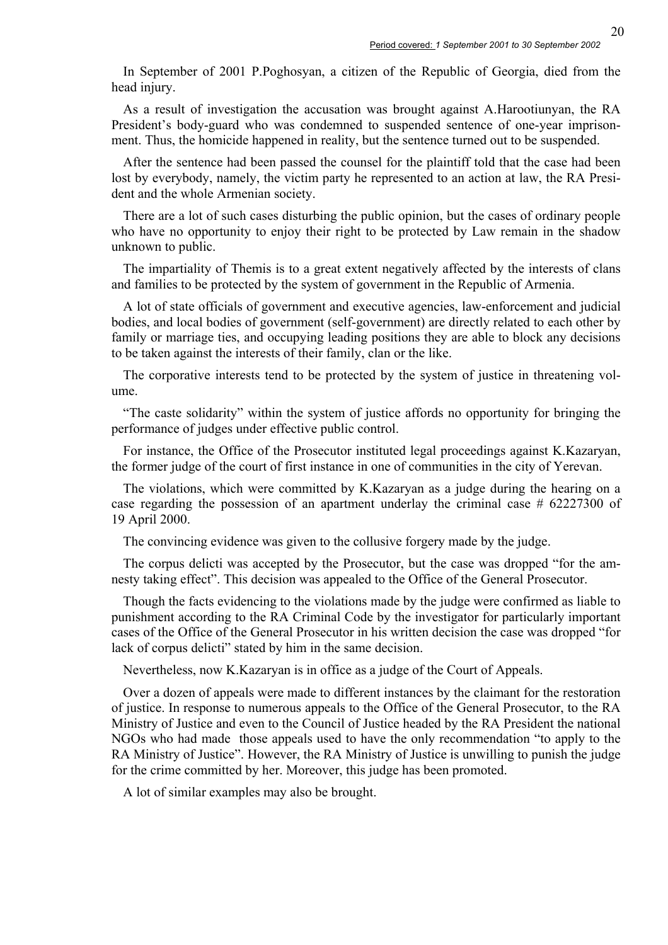In September of 2001 P.Poghosyan, a citizen of the Republic of Georgia, died from the head injury.

As a result of investigation the accusation was brought against A.Harootiunyan, the RA President's body-guard who was condemned to suspended sentence of one-year imprisonment. Thus, the homicide happened in reality, but the sentence turned out to be suspended.

After the sentence had been passed the counsel for the plaintiff told that the case had been lost by everybody, namely, the victim party he represented to an action at law, the RA President and the whole Armenian society.

There are a lot of such cases disturbing the public opinion, but the cases of ordinary people who have no opportunity to enjoy their right to be protected by Law remain in the shadow unknown to public.

The impartiality of Themis is to a great extent negatively affected by the interests of clans and families to be protected by the system of government in the Republic of Armenia.

A lot of state officials of government and executive agencies, law-enforcement and judicial bodies, and local bodies of government (self-government) are directly related to each other by family or marriage ties, and occupying leading positions they are able to block any decisions to be taken against the interests of their family, clan or the like.

The corporative interests tend to be protected by the system of justice in threatening volume.

"The caste solidarity" within the system of justice affords no opportunity for bringing the performance of judges under effective public control.

For instance, the Office of the Prosecutor instituted legal proceedings against K.Kazaryan, the former judge of the court of first instance in one of communities in the city of Yerevan.

The violations, which were committed by K.Kazaryan as a judge during the hearing on a case regarding the possession of an apartment underlay the criminal case # 62227300 of 19 April 2000.

The convincing evidence was given to the collusive forgery made by the judge.

The corpus delicti was accepted by the Prosecutor, but the case was dropped "for the amnesty taking effect". This decision was appealed to the Office of the General Prosecutor.

Though the facts evidencing to the violations made by the judge were confirmed as liable to punishment according to the RA Criminal Code by the investigator for particularly important cases of the Office of the General Prosecutor in his written decision the case was dropped "for lack of corpus delicti" stated by him in the same decision.

Nevertheless, now K.Kazaryan is in office as a judge of the Court of Appeals.

Over a dozen of appeals were made to different instances by the claimant for the restoration of justice. In response to numerous appeals to the Office of the General Prosecutor, to the RA Ministry of Justice and even to the Council of Justice headed by the RA President the national NGOs who had made those appeals used to have the only recommendation "to apply to the RA Ministry of Justice". However, the RA Ministry of Justice is unwilling to punish the judge for the crime committed by her. Moreover, this judge has been promoted.

A lot of similar examples may also be brought.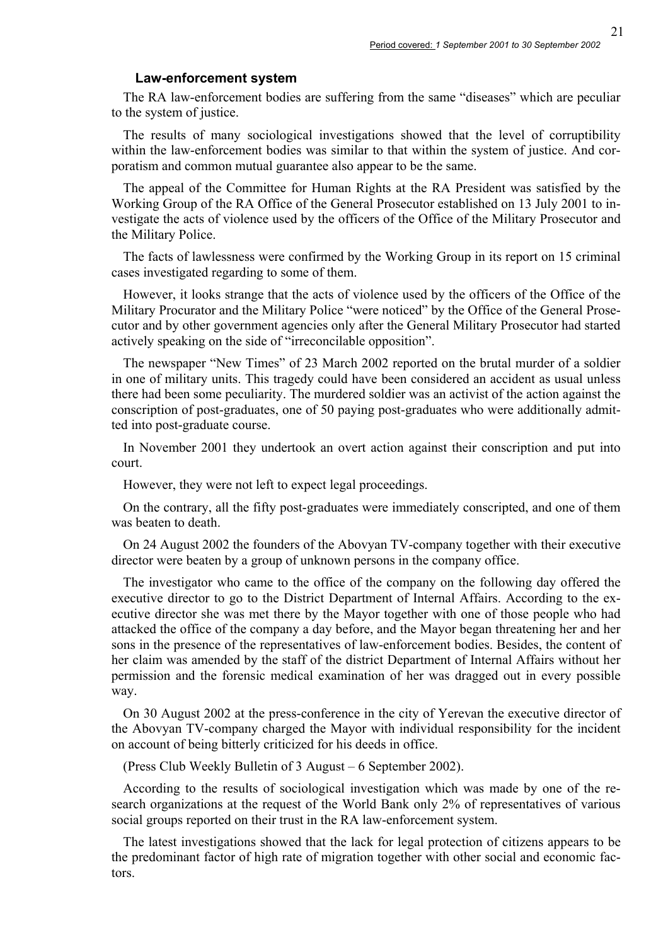#### **Law-enforcement system**

The RA law-enforcement bodies are suffering from the same "diseases" which are peculiar to the system of justice.

The results of many sociological investigations showed that the level of corruptibility within the law-enforcement bodies was similar to that within the system of justice. And corporatism and common mutual guarantee also appear to be the same.

The appeal of the Committee for Human Rights at the RA President was satisfied by the Working Group of the RA Office of the General Prosecutor established on 13 July 2001 to investigate the acts of violence used by the officers of the Office of the Military Prosecutor and the Military Police.

The facts of lawlessness were confirmed by the Working Group in its report on 15 criminal cases investigated regarding to some of them.

However, it looks strange that the acts of violence used by the officers of the Office of the Military Procurator and the Military Police "were noticed" by the Office of the General Prosecutor and by other government agencies only after the General Military Prosecutor had started actively speaking on the side of "irreconcilable opposition".

The newspaper "New Times" of 23 March 2002 reported on the brutal murder of a soldier in one of military units. This tragedy could have been considered an accident as usual unless there had been some peculiarity. The murdered soldier was an activist of the action against the conscription of post-graduates, one of 50 paying post-graduates who were additionally admitted into post-graduate course.

In November 2001 they undertook an overt action against their conscription and put into court.

However, they were not left to expect legal proceedings.

On the contrary, all the fifty post-graduates were immediately conscripted, and one of them was beaten to death.

On 24 August 2002 the founders of the Abovyan TV-company together with their executive director were beaten by a group of unknown persons in the company office.

The investigator who came to the office of the company on the following day offered the executive director to go to the District Department of Internal Affairs. According to the executive director she was met there by the Mayor together with one of those people who had attacked the office of the company a day before, and the Mayor began threatening her and her sons in the presence of the representatives of law-enforcement bodies. Besides, the content of her claim was amended by the staff of the district Department of Internal Affairs without her permission and the forensic medical examination of her was dragged out in every possible way.

On 30 August 2002 at the press-conference in the city of Yerevan the executive director of the Abovyan TV-company charged the Mayor with individual responsibility for the incident on account of being bitterly criticized for his deeds in office.

(Press Club Weekly Bulletin of 3 August – 6 September 2002).

According to the results of sociological investigation which was made by one of the research organizations at the request of the World Bank only 2% of representatives of various social groups reported on their trust in the RA law-enforcement system.

The latest investigations showed that the lack for legal protection of citizens appears to be the predominant factor of high rate of migration together with other social and economic factors.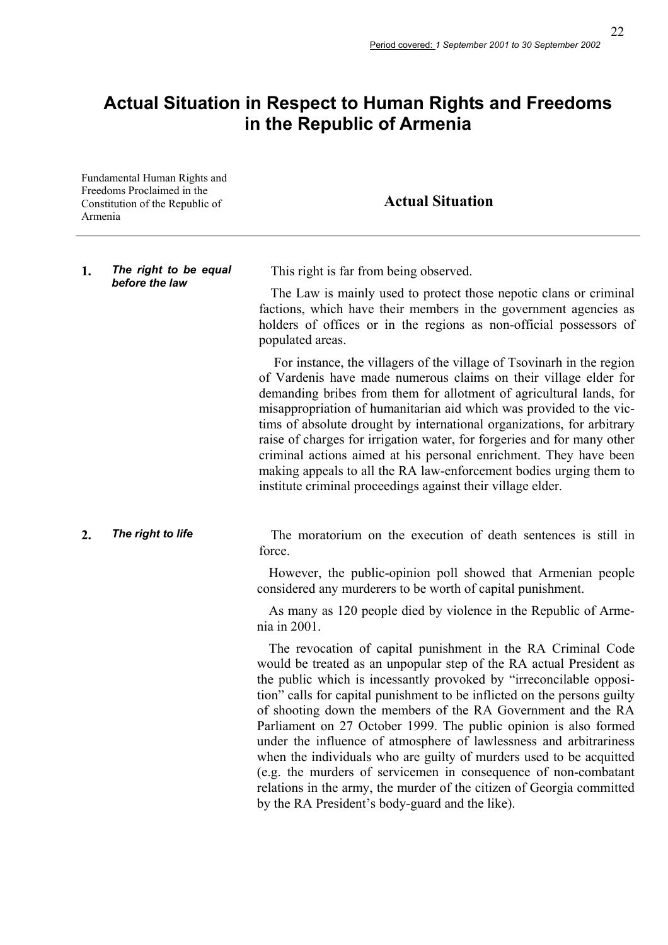# **Actual Situation in Respect to Human Rights and Freedoms in the Republic of Armenia**

Fundamental Human Rights and Freedoms Proclaimed in the Constitution of the Republic of Armenia

## **Actual Situation**

# **1.** *The right to be equal*

This right is far from being observed.

The Law is mainly used to protect those nepotic clans or criminal factions, which have their members in the government agencies as holders of offices or in the regions as non-official possessors of populated areas.

 For instance, the villagers of the village of Tsovinarh in the region of Vardenis have made numerous claims on their village elder for demanding bribes from them for allotment of agricultural lands, for misappropriation of humanitarian aid which was provided to the victims of absolute drought by international organizations, for arbitrary raise of charges for irrigation water, for forgeries and for many other criminal actions aimed at his personal enrichment. They have been making appeals to all the RA law-enforcement bodies urging them to institute criminal proceedings against their village elder.

**2. The right to life** The moratorium on the execution of death sentences is still in force.

> However, the public-opinion poll showed that Armenian people considered any murderers to be worth of capital punishment.

> As many as 120 people died by violence in the Republic of Armenia in 2001.

> The revocation of capital punishment in the RA Criminal Code would be treated as an unpopular step of the RA actual President as the public which is incessantly provoked by "irreconcilable opposition" calls for capital punishment to be inflicted on the persons guilty of shooting down the members of the RA Government and the RA Parliament on 27 October 1999. The public opinion is also formed under the influence of atmosphere of lawlessness and arbitrariness when the individuals who are guilty of murders used to be acquitted (e.g. the murders of servicemen in consequence of non-combatant relations in the army, the murder of the citizen of Georgia committed by the RA President's body-guard and the like).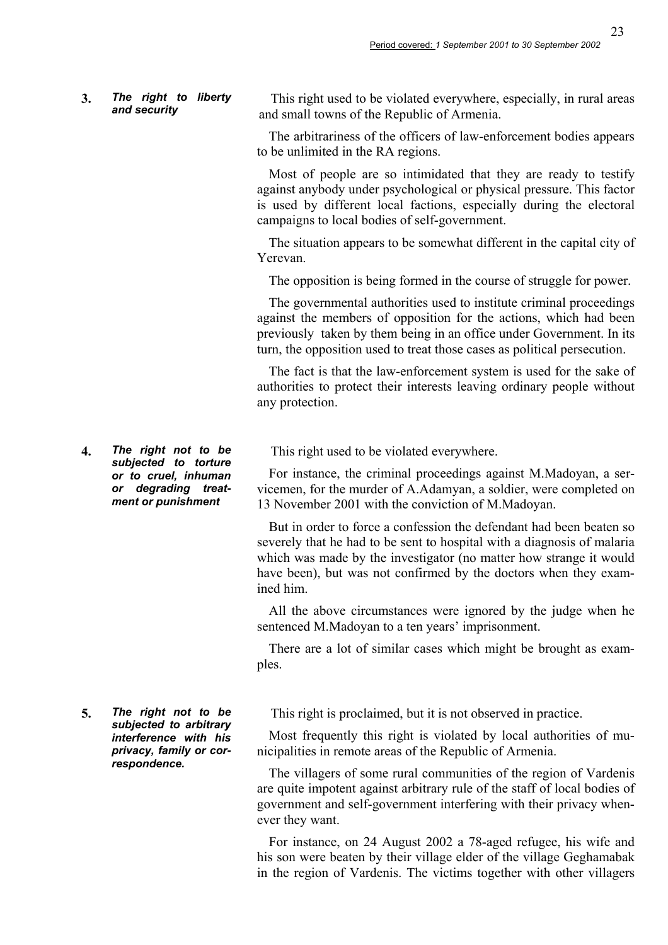#### **3.** *The right to liberty and security*

This right used to be violated everywhere, especially, in rural areas and small towns of the Republic of Armenia.

The arbitrariness of the officers of law-enforcement bodies appears to be unlimited in the RA regions.

Most of people are so intimidated that they are ready to testify against anybody under psychological or physical pressure. This factor is used by different local factions, especially during the electoral campaigns to local bodies of self-government.

The situation appears to be somewhat different in the capital city of Yerevan.

The opposition is being formed in the course of struggle for power.

The governmental authorities used to institute criminal proceedings against the members of opposition for the actions, which had been previously taken by them being in an office under Government. In its turn, the opposition used to treat those cases as political persecution.

The fact is that the law-enforcement system is used for the sake of authorities to protect their interests leaving ordinary people without any protection.

This right used to be violated everywhere.

For instance, the criminal proceedings against M.Madoyan, a servicemen, for the murder of A.Adamyan, a soldier, were completed on 13 November 2001 with the conviction of M.Madoyan.

But in order to force a confession the defendant had been beaten so severely that he had to be sent to hospital with a diagnosis of malaria which was made by the investigator (no matter how strange it would have been), but was not confirmed by the doctors when they examined him.

All the above circumstances were ignored by the judge when he sentenced M.Madoyan to a ten years' imprisonment.

There are a lot of similar cases which might be brought as examples.

This right is proclaimed, but it is not observed in practice.

Most frequently this right is violated by local authorities of municipalities in remote areas of the Republic of Armenia.

The villagers of some rural communities of the region of Vardenis are quite impotent against arbitrary rule of the staff of local bodies of government and self-government interfering with their privacy whenever they want.

For instance, on 24 August 2002 a 78-aged refugee, his wife and his son were beaten by their village elder of the village Geghamabak in the region of Vardenis. The victims together with other villagers

**4.** *The right not to be subjected to torture or to cruel, inhuman or degrading treatment or punishment* 

**5.** *The right not to be subjected to arbitrary interference with his privacy, family or correspondence.*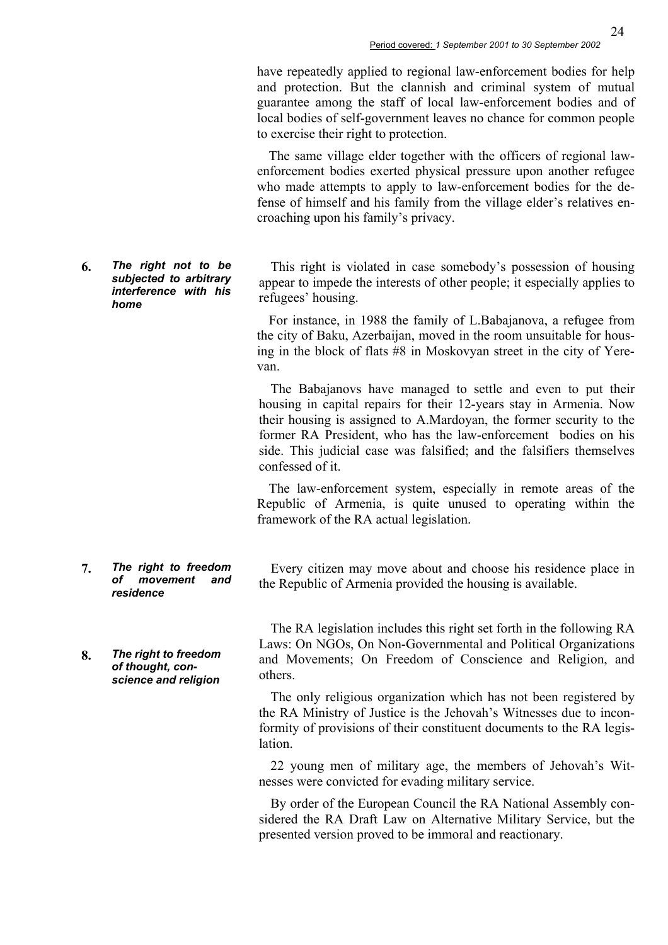have repeatedly applied to regional law-enforcement bodies for help and protection. But the clannish and criminal system of mutual guarantee among the staff of local law-enforcement bodies and of local bodies of self-government leaves no chance for common people to exercise their right to protection.

The same village elder together with the officers of regional lawenforcement bodies exerted physical pressure upon another refugee who made attempts to apply to law-enforcement bodies for the defense of himself and his family from the village elder's relatives encroaching upon his family's privacy.

This right is violated in case somebody's possession of housing appear to impede the interests of other people; it especially applies to refugees' housing.

For instance, in 1988 the family of L.Babajanova, a refugee from the city of Baku, Azerbaijan, moved in the room unsuitable for housing in the block of flats #8 in Moskovyan street in the city of Yerevan.

The Babajanovs have managed to settle and even to put their housing in capital repairs for their 12-years stay in Armenia. Now their housing is assigned to A.Mardoyan, the former security to the former RA President, who has the law-enforcement bodies on his side. This judicial case was falsified; and the falsifiers themselves confessed of it.

The law-enforcement system, especially in remote areas of the Republic of Armenia, is quite unused to operating within the framework of the RA actual legislation.

Every citizen may move about and choose his residence place in the Republic of Armenia provided the housing is available.

The RA legislation includes this right set forth in the following RA Laws: On NGOs, On Non-Governmental and Political Organizations and Movements; On Freedom of Conscience and Religion, and others.

The only religious organization which has not been registered by the RA Ministry of Justice is the Jehovah's Witnesses due to inconformity of provisions of their constituent documents to the RA legislation.

22 young men of military age, the members of Jehovah's Witnesses were convicted for evading military service.

By order of the European Council the RA National Assembly considered the RA Draft Law on Alternative Military Service, but the presented version proved to be immoral and reactionary.

**6.** *The right not to be subjected to arbitrary interference with his home* 

- **7.** *The right to freedom of movement and residence*
- **8.** *The right to freedom of thought, conscience and religion*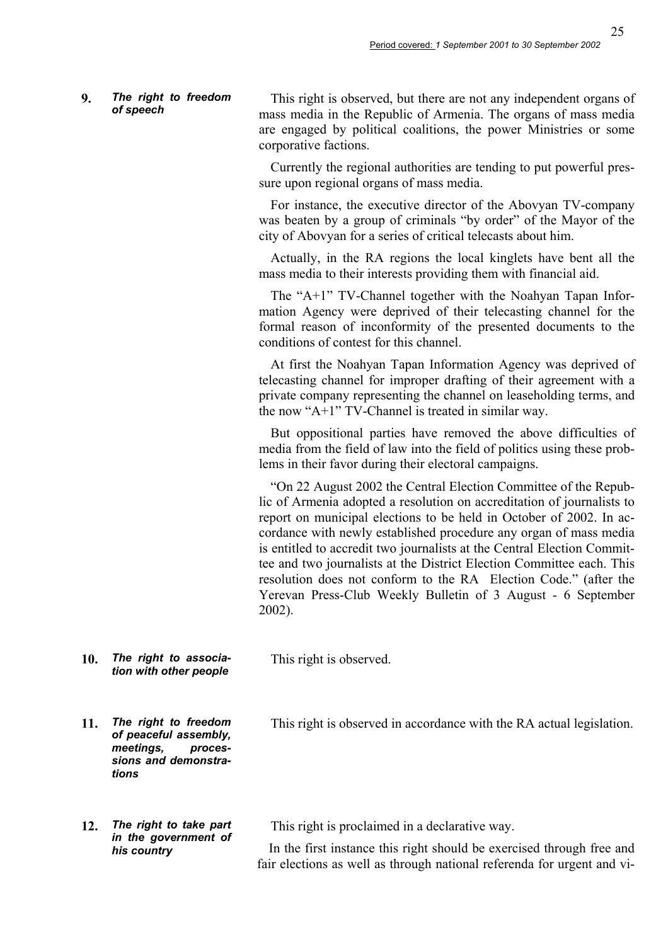# **9.** *The right to freedom*

This right is observed, but there are not any independent organs of mass media in the Republic of Armenia. The organs of mass media are engaged by political coalitions, the power Ministries or some corporative factions.

Currently the regional authorities are tending to put powerful pressure upon regional organs of mass media.

For instance, the executive director of the Abovyan TV-company was beaten by a group of criminals "by order" of the Mayor of the city of Abovyan for a series of critical telecasts about him.

Actually, in the RA regions the local kinglets have bent all the mass media to their interests providing them with financial aid.

The "A+1" TV-Channel together with the Noahyan Tapan Information Agency were deprived of their telecasting channel for the formal reason of inconformity of the presented documents to the conditions of contest for this channel.

At first the Noahyan Tapan Information Agency was deprived of telecasting channel for improper drafting of their agreement with a private company representing the channel on leaseholding terms, and the now "A+1" TV-Channel is treated in similar way.

But oppositional parties have removed the above difficulties of media from the field of law into the field of politics using these problems in their favor during their electoral campaigns.

"On 22 August 2002 the Central Election Committee of the Republic of Armenia adopted a resolution on accreditation of journalists to report on municipal elections to be held in October of 2002. In accordance with newly established procedure any organ of mass media is entitled to accredit two journalists at the Central Election Committee and two journalists at the District Election Committee each. This resolution does not conform to the RA Election Code." (after the Yerevan Press-Club Weekly Bulletin of 3 August - 6 September 2002).

**10.** *The right to association with other people*  This right is observed.

This right is observed in accordance with the RA actual legislation.

- **11.** *The right to freedom of peaceful assembly, meetings, processions and demonstrations*
- **12.** *The right to take part in the government of his country*

This right is proclaimed in a declarative way.

In the first instance this right should be exercised through free and fair elections as well as through national referenda for urgent and vi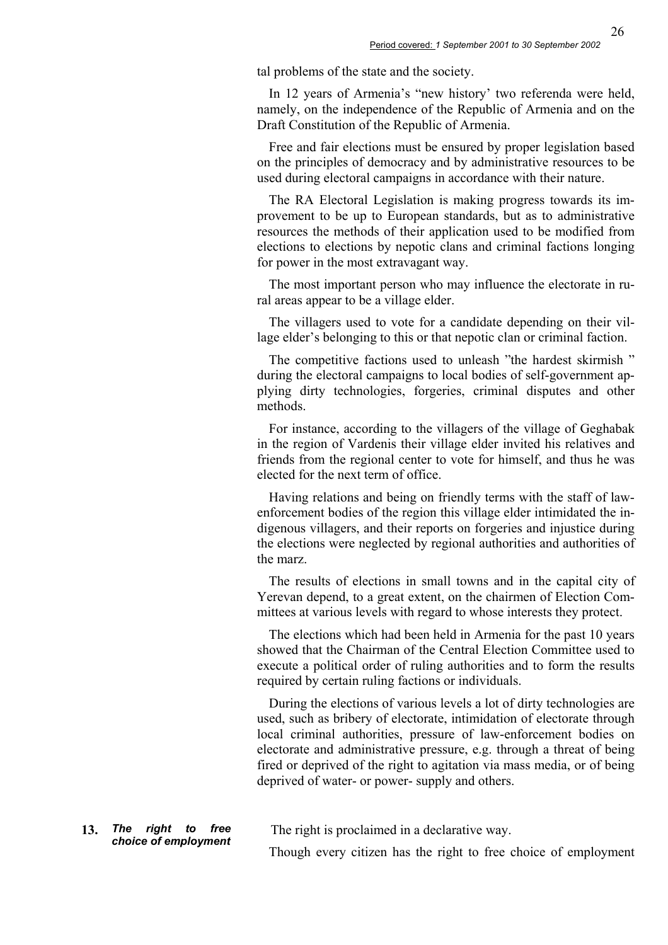tal problems of the state and the society.

In 12 years of Armenia's "new history' two referenda were held, namely, on the independence of the Republic of Armenia and on the Draft Constitution of the Republic of Armenia.

Free and fair elections must be ensured by proper legislation based on the principles of democracy and by administrative resources to be used during electoral campaigns in accordance with their nature.

The RA Electoral Legislation is making progress towards its improvement to be up to European standards, but as to administrative resources the methods of their application used to be modified from elections to elections by nepotic clans and criminal factions longing for power in the most extravagant way.

The most important person who may influence the electorate in rural areas appear to be a village elder.

The villagers used to vote for a candidate depending on their village elder's belonging to this or that nepotic clan or criminal faction.

The competitive factions used to unleash "the hardest skirmish " during the electoral campaigns to local bodies of self-government applying dirty technologies, forgeries, criminal disputes and other methods.

For instance, according to the villagers of the village of Geghabak in the region of Vardenis their village elder invited his relatives and friends from the regional center to vote for himself, and thus he was elected for the next term of office.

Having relations and being on friendly terms with the staff of lawenforcement bodies of the region this village elder intimidated the indigenous villagers, and their reports on forgeries and injustice during the elections were neglected by regional authorities and authorities of the marz.

The results of elections in small towns and in the capital city of Yerevan depend, to a great extent, on the chairmen of Election Committees at various levels with regard to whose interests they protect.

The elections which had been held in Armenia for the past 10 years showed that the Chairman of the Central Election Committee used to execute a political order of ruling authorities and to form the results required by certain ruling factions or individuals.

During the elections of various levels a lot of dirty technologies are used, such as bribery of electorate, intimidation of electorate through local criminal authorities, pressure of law-enforcement bodies on electorate and administrative pressure, e.g. through a threat of being fired or deprived of the right to agitation via mass media, or of being deprived of water- or power- supply and others.

**13.** *The right to free* 

The right is proclaimed in a declarative way.

Though every citizen has the right to free choice of employment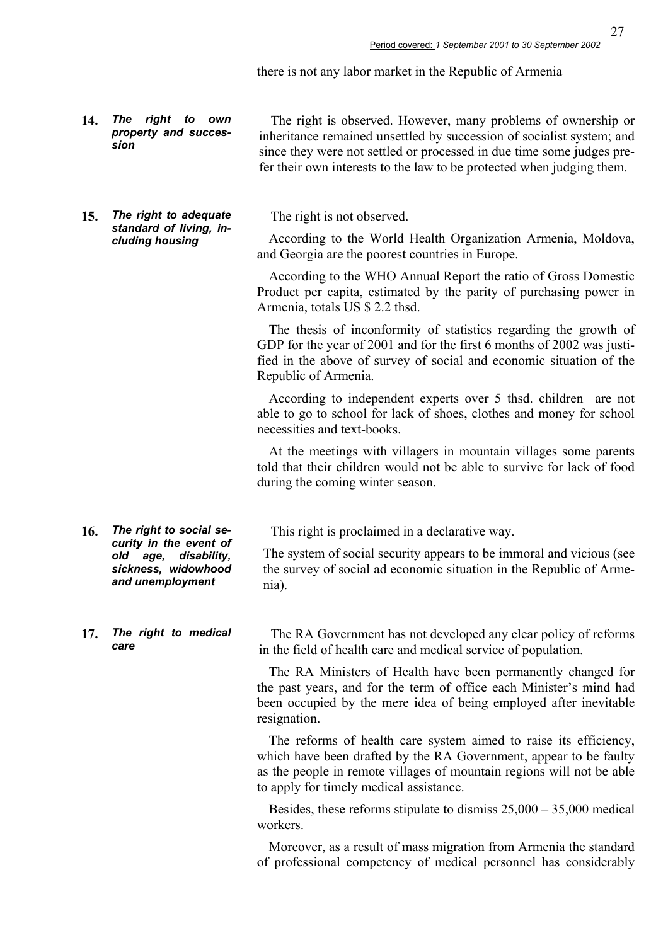27

there is not any labor market in the Republic of Armenia

**14.** *The right to own property and succession* 

**15.** *The right to adequate standard of living, including housing* 

The right is observed. However, many problems of ownership or inheritance remained unsettled by succession of socialist system; and since they were not settled or processed in due time some judges prefer their own interests to the law to be protected when judging them.

The right is not observed.

According to the World Health Organization Armenia, Moldova, and Georgia are the poorest countries in Europe.

According to the WHO Annual Report the ratio of Gross Domestic Product per capita, estimated by the parity of purchasing power in Armenia, totals US \$ 2.2 thsd.

The thesis of inconformity of statistics regarding the growth of GDP for the year of 2001 and for the first 6 months of 2002 was justified in the above of survey of social and economic situation of the Republic of Armenia.

According to independent experts over 5 thsd. children are not able to go to school for lack of shoes, clothes and money for school necessities and text-books.

At the meetings with villagers in mountain villages some parents told that their children would not be able to survive for lack of food during the coming winter season.

This right is proclaimed in a declarative way.

The system of social security appears to be immoral and vicious (see the survey of social ad economic situation in the Republic of Armenia).

**17.** *The right to medical care* 

**16.** *The right to social security in the event of old age, disability, sickness, widowhood and unemployment* 

> The RA Government has not developed any clear policy of reforms in the field of health care and medical service of population.

> The RA Ministers of Health have been permanently changed for the past years, and for the term of office each Minister's mind had been occupied by the mere idea of being employed after inevitable resignation.

> The reforms of health care system aimed to raise its efficiency, which have been drafted by the RA Government, appear to be faulty as the people in remote villages of mountain regions will not be able to apply for timely medical assistance.

> Besides, these reforms stipulate to dismiss 25,000 – 35,000 medical workers.

> Moreover, as a result of mass migration from Armenia the standard of professional competency of medical personnel has considerably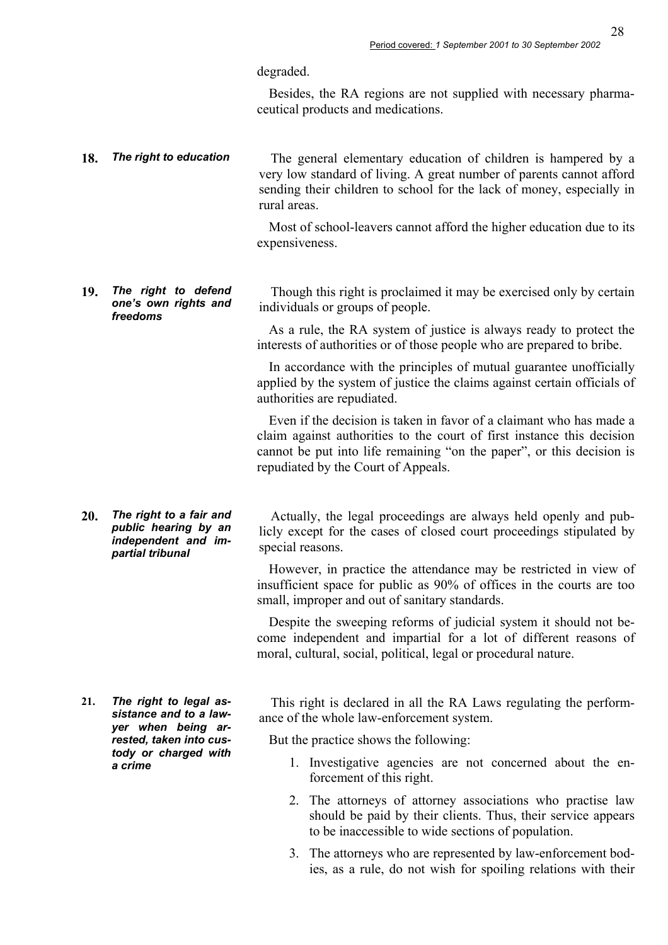degraded.

Besides, the RA regions are not supplied with necessary pharmaceutical products and medications.

18. **The right to education** The general elementary education of children is hampered by a very low standard of living. A great number of parents cannot afford sending their children to school for the lack of money, especially in rural areas.

> Most of school-leavers cannot afford the higher education due to its expensiveness.

**19.** *The right to defend one's own rights and freedoms* 

Though this right is proclaimed it may be exercised only by certain individuals or groups of people.

As a rule, the RA system of justice is always ready to protect the interests of authorities or of those people who are prepared to bribe.

In accordance with the principles of mutual guarantee unofficially applied by the system of justice the claims against certain officials of authorities are repudiated.

Even if the decision is taken in favor of a claimant who has made a claim against authorities to the court of first instance this decision cannot be put into life remaining "on the paper", or this decision is repudiated by the Court of Appeals.

**20.** *The right to a fair and public hearing by an independent and impartial tribunal* 

Actually, the legal proceedings are always held openly and publicly except for the cases of closed court proceedings stipulated by special reasons.

However, in practice the attendance may be restricted in view of insufficient space for public as 90% of offices in the courts are too small, improper and out of sanitary standards.

Despite the sweeping reforms of judicial system it should not become independent and impartial for a lot of different reasons of moral, cultural, social, political, legal or procedural nature.

**21.** *The right to legal assistance and to a lawyer when being arrested, taken into custody or charged with a crime* 

This right is declared in all the RA Laws regulating the performance of the whole law-enforcement system.

But the practice shows the following:

- 1. Investigative agencies are not concerned about the enforcement of this right.
- 2. The attorneys of attorney associations who practise law should be paid by their clients. Thus, their service appears to be inaccessible to wide sections of population.
- 3. The attorneys who are represented by law-enforcement bodies, as a rule, do not wish for spoiling relations with their